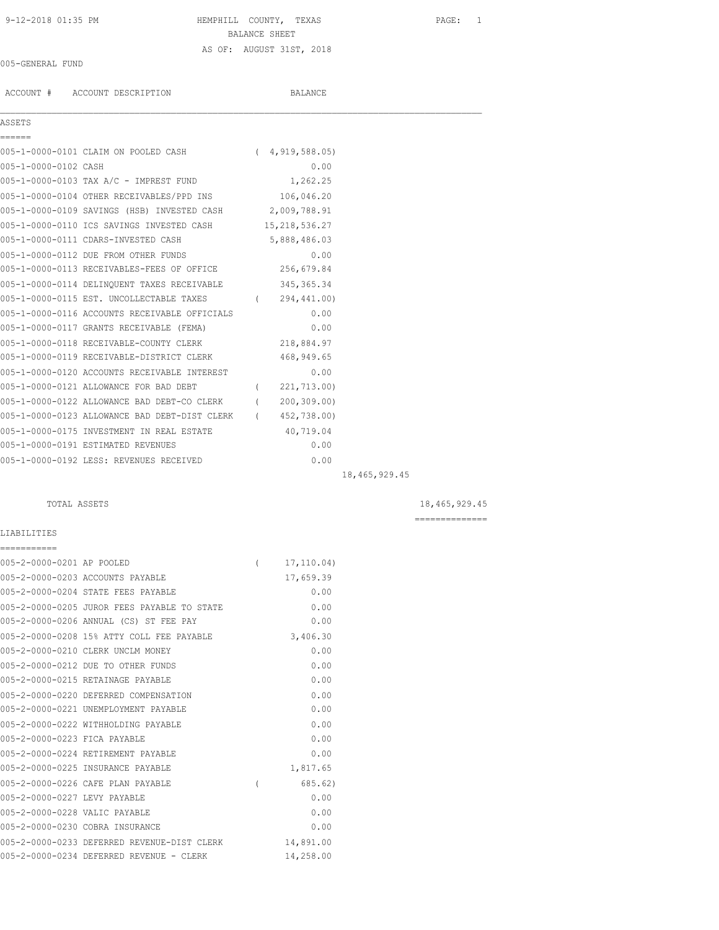## 9-12-2018 01:35 PM HEMPHILL COUNTY, TEXAS PAGE: 1 BALANCE SHEET AS OF: AUGUST 31ST, 2018

#### 005-GENERAL FUND

ACCOUNT # ACCOUNT DESCRIPTION BALANCE

### ASSETS

| ں ⊥ تاں ں ہ          |                                                          |               |  |
|----------------------|----------------------------------------------------------|---------------|--|
| ======               |                                                          |               |  |
|                      | 005-1-0000-0101 CLAIM ON POOLED CASH (4,919,588.05)      |               |  |
| 005-1-0000-0102 CASH |                                                          | 0.00          |  |
|                      | 005-1-0000-0103 TAX A/C - IMPREST FUND                   | 1,262.25      |  |
|                      | 005-1-0000-0104 OTHER RECEIVABLES/PPD INS 106,046.20     |               |  |
|                      | 005-1-0000-0109 SAVINGS (HSB) INVESTED CASH 2,009,788.91 |               |  |
|                      | 005-1-0000-0110 ICS SAVINGS INVESTED CASH 15,218,536.27  |               |  |
|                      | 005-1-0000-0111 CDARS-INVESTED CASH 5,888,486.03         |               |  |
|                      | 005-1-0000-0112 DUE FROM OTHER FUNDS                     | 0.00          |  |
|                      | 005-1-0000-0113 RECEIVABLES-FEES OF OFFICE 256,679.84    |               |  |
|                      | 005-1-0000-0114 DELINQUENT TAXES RECEIVABLE 345,365.34   |               |  |
|                      | 005-1-0000-0115 EST. UNCOLLECTABLE TAXES                 | (294, 441.00) |  |
|                      | 005-1-0000-0116 ACCOUNTS RECEIVABLE OFFICIALS            | 0.00          |  |
|                      | 005-1-0000-0117 GRANTS RECEIVABLE (FEMA)                 | 0.00          |  |
|                      | 005-1-0000-0118 RECEIVABLE-COUNTY CLERK 218,884.97       |               |  |
|                      | 005-1-0000-0119 RECEIVABLE-DISTRICT CLERK                | 468,949.65    |  |
|                      | 005-1-0000-0120 ACCOUNTS RECEIVABLE INTEREST             | 0.00          |  |
|                      | 005-1-0000-0121 ALLOWANCE FOR BAD DEBT                   | (221, 713.00) |  |
|                      | 005-1-0000-0122 ALLOWANCE BAD DEBT-CO CLERK (            | 200, 309, 00) |  |
|                      | 005-1-0000-0123 ALLOWANCE BAD DEBT-DIST CLERK (          | 452,738.00)   |  |
|                      | 005-1-0000-0175 INVESTMENT IN REAL ESTATE                | 40,719.04     |  |
|                      | 005-1-0000-0191 ESTIMATED REVENUES                       | 0.00          |  |
|                      | 005-1-0000-0192 LESS: REVENUES RECEIVED                  | 0.00          |  |
|                      |                                                          |               |  |

 $\mathcal{L}_\mathcal{L} = \mathcal{L}_\mathcal{L}$ 

LIABILITIES

18,465,929.45

TOTAL ASSETS 18,465,929.45

==============

# =========== 005-2-0000-0201 AP POOLED ( 17,110.04) 005-2-0000-0203 ACCOUNTS PAYABLE 17,659.39 005-2-0000-0204 STATE FEES PAYABLE 0.00 005-2-0000-0205 JUROR FEES PAYABLE TO STATE 0.00 005-2-0000-0206 ANNUAL (CS) ST FEE PAY 0.00 005-2-0000-0208 15% ATTY COLL FEE PAYABLE 3,406.30 005-2-0000-0210 CLERK UNCLM MONEY 0.00 005-2-0000-0212 DUE TO OTHER FUNDS 0.00 005-2-0000-0215 RETAINAGE PAYABLE 0.00 005-2-0000-0220 DEFERRED COMPENSATION 0.00 005-2-0000-0221 UNEMPLOYMENT PAYABLE 0.00 005-2-0000-0222 WITHHOLDING PAYABLE 0.00 005-2-0000-0223 FICA PAYABLE 0.00 005-2-0000-0224 RETIREMENT PAYABLE 0.00 005-2-0000-0225 INSURANCE PAYABLE 1,817.65 005-2-0000-0226 CAFE PLAN PAYABLE ( 685.62) 005-2-0000-0227 LEVY PAYABLE 0.00 005-2-0000-0228 VALIC PAYABLE 0.00 005-2-0000-0230 COBRA INSURANCE 0.00 005-2-0000-0233 DEFERRED REVENUE-DIST CLERK 14,891.00<br>005-2-0000-0233 DEFERRED REVENUE-DIST CLERK 14,891.00 005-2-0000-0234 DEFERRED REVENUE - CLERK 14,258.00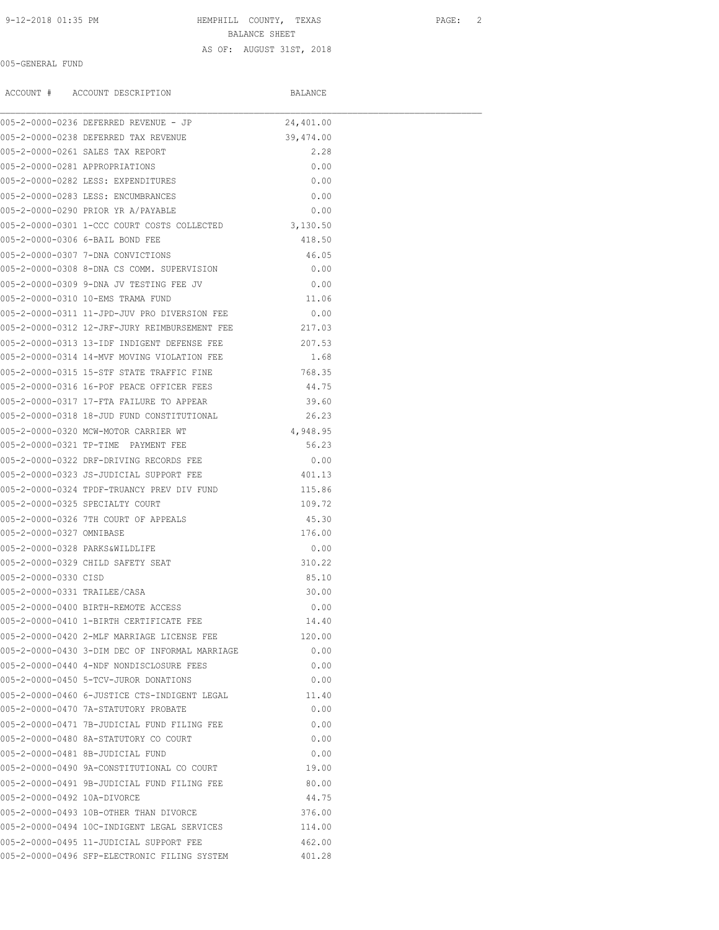# 9-12-2018 01:35 PM **HEMPHILL COUNTY, TEXAS** PAGE: 2 BALANCE SHEET

#### AS OF: AUGUST 31ST, 2018

## 005-GENERAL FUND

ACCOUNT # ACCOUNT DESCRIPTION BALANCE

|                                | 005-2-0000-0236 DEFERRED REVENUE - JP                | 24,401.00 |  |
|--------------------------------|------------------------------------------------------|-----------|--|
|                                | 005-2-0000-0238 DEFERRED TAX REVENUE                 | 39,474.00 |  |
|                                | 005-2-0000-0261 SALES TAX REPORT                     | 2.28      |  |
| 005-2-0000-0281 APPROPRIATIONS |                                                      | 0.00      |  |
|                                | 005-2-0000-0282 LESS: EXPENDITURES                   | 0.00      |  |
|                                | 005-2-0000-0283 LESS: ENCUMBRANCES                   | 0.00      |  |
|                                | 005-2-0000-0290 PRIOR YR A/PAYABLE                   | 0.00      |  |
|                                | 005-2-0000-0301 1-CCC COURT COSTS COLLECTED          | 3,130.50  |  |
|                                | 005-2-0000-0306 6-BAIL BOND FEE                      | 418.50    |  |
|                                | 005-2-0000-0307 7-DNA CONVICTIONS                    | 46.05     |  |
|                                | 005-2-0000-0308 8-DNA CS COMM. SUPERVISION           | 0.00      |  |
|                                | 005-2-0000-0309 9-DNA JV TESTING FEE JV              | 0.00      |  |
|                                | 005-2-0000-0310 10-EMS TRAMA FUND                    | 11.06     |  |
|                                | 005-2-0000-0311 11-JPD-JUV PRO DIVERSION FEE         | 0.00      |  |
|                                | 005-2-0000-0312 12-JRF-JURY REIMBURSEMENT FEE 217.03 |           |  |
|                                | 005-2-0000-0313 13-IDF INDIGENT DEFENSE FEE 207.53   |           |  |
|                                | 005-2-0000-0314 14-MVF MOVING VIOLATION FEE          | 1.68      |  |
|                                | 005-2-0000-0315 15-STF STATE TRAFFIC FINE            | 768.35    |  |
|                                | 005-2-0000-0316 16-POF PEACE OFFICER FEES            | 44.75     |  |
|                                | 005-2-0000-0317 17-FTA FAILURE TO APPEAR             | 39.60     |  |
|                                | 005-2-0000-0318 18-JUD FUND CONSTITUTIONAL           | 26.23     |  |
|                                | 005-2-0000-0320 MCW-MOTOR CARRIER WT                 | 4,948.95  |  |
|                                | 005-2-0000-0321 TP-TIME PAYMENT FEE                  | 56.23     |  |
|                                | 005-2-0000-0322 DRF-DRIVING RECORDS FEE              | 0.00      |  |
|                                | 005-2-0000-0323 JS-JUDICIAL SUPPORT FEE              | 401.13    |  |
|                                | 005-2-0000-0324 TPDF-TRUANCY PREV DIV FUND           | 115.86    |  |
|                                | 005-2-0000-0325 SPECIALTY COURT                      | 109.72    |  |
|                                | 005-2-0000-0326 7TH COURT OF APPEALS                 | 45.30     |  |
| 005-2-0000-0327 OMNIBASE       |                                                      | 176.00    |  |
|                                | 005-2-0000-0328 PARKS&WILDLIFE                       | 0.00      |  |
|                                | 005-2-0000-0329 CHILD SAFETY SEAT                    | 310.22    |  |
| 005-2-0000-0330 CISD           |                                                      | 85.10     |  |
| 005-2-0000-0331 TRAILEE/CASA   |                                                      | 30.00     |  |
|                                | 005-2-0000-0400 BIRTH-REMOTE ACCESS                  | 0.00      |  |
|                                | 005-2-0000-0410 1-BIRTH CERTIFICATE FEE              | 14.40     |  |
|                                | 005-2-0000-0420 2-MLF MARRIAGE LICENSE FEE           | 120.00    |  |
|                                | 005-2-0000-0430 3-DIM DEC OF INFORMAL MARRIAGE       | 0.00      |  |
|                                | 005-2-0000-0440 4-NDF NONDISCLOSURE FEES             | 0.00      |  |
|                                | 005-2-0000-0450 5-TCV-JUROR DONATIONS                | 0.00      |  |
|                                | 005-2-0000-0460 6-JUSTICE CTS-INDIGENT LEGAL         | 11.40     |  |
|                                | 005-2-0000-0470 7A-STATUTORY PROBATE                 | 0.00      |  |
|                                | 005-2-0000-0471 7B-JUDICIAL FUND FILING FEE          | 0.00      |  |
|                                | 005-2-0000-0480 8A-STATUTORY CO COURT                | 0.00      |  |
|                                | 005-2-0000-0481 8B-JUDICIAL FUND                     | 0.00      |  |
|                                | 005-2-0000-0490 9A-CONSTITUTIONAL CO COURT           | 19.00     |  |
|                                | 005-2-0000-0491 9B-JUDICIAL FUND FILING FEE          | 80.00     |  |
| 005-2-0000-0492 10A-DIVORCE    |                                                      | 44.75     |  |
|                                | 005-2-0000-0493 10B-OTHER THAN DIVORCE               | 376.00    |  |
|                                | 005-2-0000-0494 10C-INDIGENT LEGAL SERVICES          | 114.00    |  |
|                                | 005-2-0000-0495 11-JUDICIAL SUPPORT FEE              | 462.00    |  |
|                                | 005-2-0000-0496 SFP-ELECTRONIC FILING SYSTEM         | 401.28    |  |
|                                |                                                      |           |  |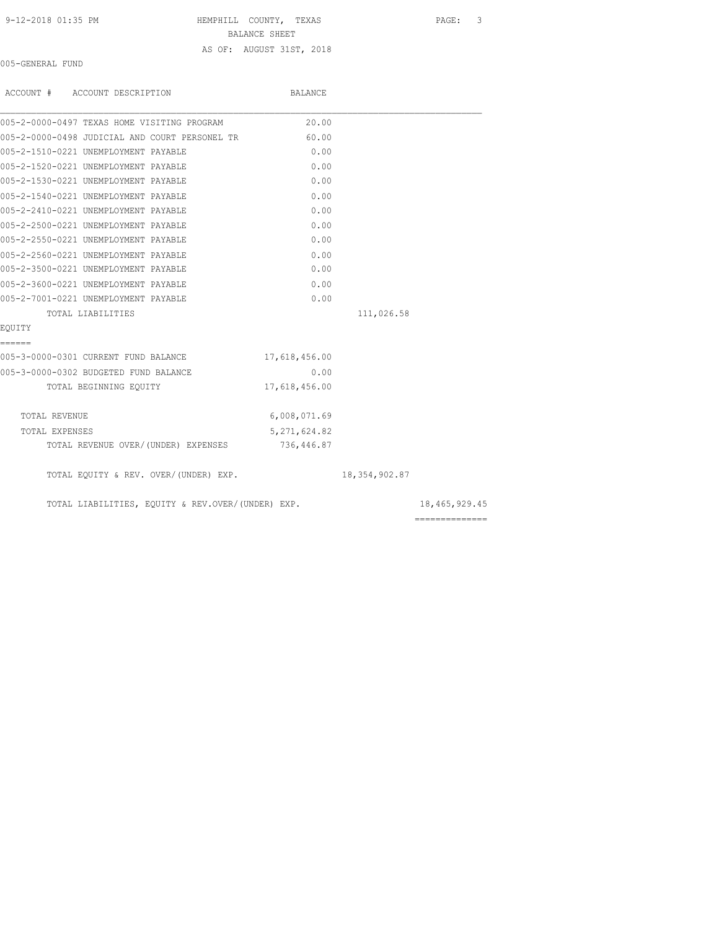# 9-12-2018 01:35 PM HEMPHILL COUNTY, TEXAS PAGE: 3

BALANCE SHEET

### AS OF: AUGUST 31ST, 2018

005-GENERAL FUND

| ACCOUNT # ACCOUNT DESCRIPTION                     | BALANCE        |                 |                                                                                                                                                                                                                                                                                                                                                                                                                                                                                        |
|---------------------------------------------------|----------------|-----------------|----------------------------------------------------------------------------------------------------------------------------------------------------------------------------------------------------------------------------------------------------------------------------------------------------------------------------------------------------------------------------------------------------------------------------------------------------------------------------------------|
| 005-2-0000-0497 TEXAS HOME VISITING PROGRAM       | 20.00          |                 |                                                                                                                                                                                                                                                                                                                                                                                                                                                                                        |
| 005-2-0000-0498 JUDICIAL AND COURT PERSONEL TR    | 60.00          |                 |                                                                                                                                                                                                                                                                                                                                                                                                                                                                                        |
| 005-2-1510-0221 UNEMPLOYMENT PAYABLE              | 0.00           |                 |                                                                                                                                                                                                                                                                                                                                                                                                                                                                                        |
| 005-2-1520-0221 UNEMPLOYMENT PAYABLE              | 0.00           |                 |                                                                                                                                                                                                                                                                                                                                                                                                                                                                                        |
| 005-2-1530-0221 UNEMPLOYMENT PAYABLE              | 0.00           |                 |                                                                                                                                                                                                                                                                                                                                                                                                                                                                                        |
| 005-2-1540-0221 UNEMPLOYMENT PAYABLE              | 0.00           |                 |                                                                                                                                                                                                                                                                                                                                                                                                                                                                                        |
| 005-2-2410-0221 UNEMPLOYMENT PAYABLE              | 0.00           |                 |                                                                                                                                                                                                                                                                                                                                                                                                                                                                                        |
| 005-2-2500-0221 UNEMPLOYMENT PAYABLE              | 0.00           |                 |                                                                                                                                                                                                                                                                                                                                                                                                                                                                                        |
| 005-2-2550-0221 UNEMPLOYMENT PAYABLE              | 0.00           |                 |                                                                                                                                                                                                                                                                                                                                                                                                                                                                                        |
| 005-2-2560-0221 UNEMPLOYMENT PAYABLE              | 0.00           |                 |                                                                                                                                                                                                                                                                                                                                                                                                                                                                                        |
| 005-2-3500-0221 UNEMPLOYMENT PAYABLE              | 0.00           |                 |                                                                                                                                                                                                                                                                                                                                                                                                                                                                                        |
| 005-2-3600-0221 UNEMPLOYMENT PAYABLE              | 0.00           |                 |                                                                                                                                                                                                                                                                                                                                                                                                                                                                                        |
| 005-2-7001-0221 UNEMPLOYMENT PAYABLE              | 0.00           |                 |                                                                                                                                                                                                                                                                                                                                                                                                                                                                                        |
| TOTAL LIABILITIES                                 |                | 111,026.58      |                                                                                                                                                                                                                                                                                                                                                                                                                                                                                        |
| EOUITY                                            |                |                 |                                                                                                                                                                                                                                                                                                                                                                                                                                                                                        |
| ======                                            |                |                 |                                                                                                                                                                                                                                                                                                                                                                                                                                                                                        |
| 005-3-0000-0301 CURRENT FUND BALANCE              | 17,618,456.00  |                 |                                                                                                                                                                                                                                                                                                                                                                                                                                                                                        |
| 005-3-0000-0302 BUDGETED FUND BALANCE             | 0.00           |                 |                                                                                                                                                                                                                                                                                                                                                                                                                                                                                        |
| TOTAL BEGINNING EQUITY                            | 17,618,456.00  |                 |                                                                                                                                                                                                                                                                                                                                                                                                                                                                                        |
| TOTAL REVENUE                                     | 6,008,071.69   |                 |                                                                                                                                                                                                                                                                                                                                                                                                                                                                                        |
| TOTAL EXPENSES                                    | 5, 271, 624.82 |                 |                                                                                                                                                                                                                                                                                                                                                                                                                                                                                        |
| TOTAL REVENUE OVER/(UNDER) EXPENSES               | 736,446.87     |                 |                                                                                                                                                                                                                                                                                                                                                                                                                                                                                        |
| TOTAL EQUITY & REV. OVER/(UNDER) EXP.             |                | 18, 354, 902.87 |                                                                                                                                                                                                                                                                                                                                                                                                                                                                                        |
| TOTAL LIABILITIES, EQUITY & REV.OVER/(UNDER) EXP. |                |                 | 18,465,929.45                                                                                                                                                                                                                                                                                                                                                                                                                                                                          |
|                                                   |                |                 | $\begin{array}{cccccccccc} \multicolumn{2}{c}{} & \multicolumn{2}{c}{} & \multicolumn{2}{c}{} & \multicolumn{2}{c}{} & \multicolumn{2}{c}{} & \multicolumn{2}{c}{} & \multicolumn{2}{c}{} & \multicolumn{2}{c}{} & \multicolumn{2}{c}{} & \multicolumn{2}{c}{} & \multicolumn{2}{c}{} & \multicolumn{2}{c}{} & \multicolumn{2}{c}{} & \multicolumn{2}{c}{} & \multicolumn{2}{c}{} & \multicolumn{2}{c}{} & \multicolumn{2}{c}{} & \multicolumn{2}{c}{} & \multicolumn{2}{c}{} & \mult$ |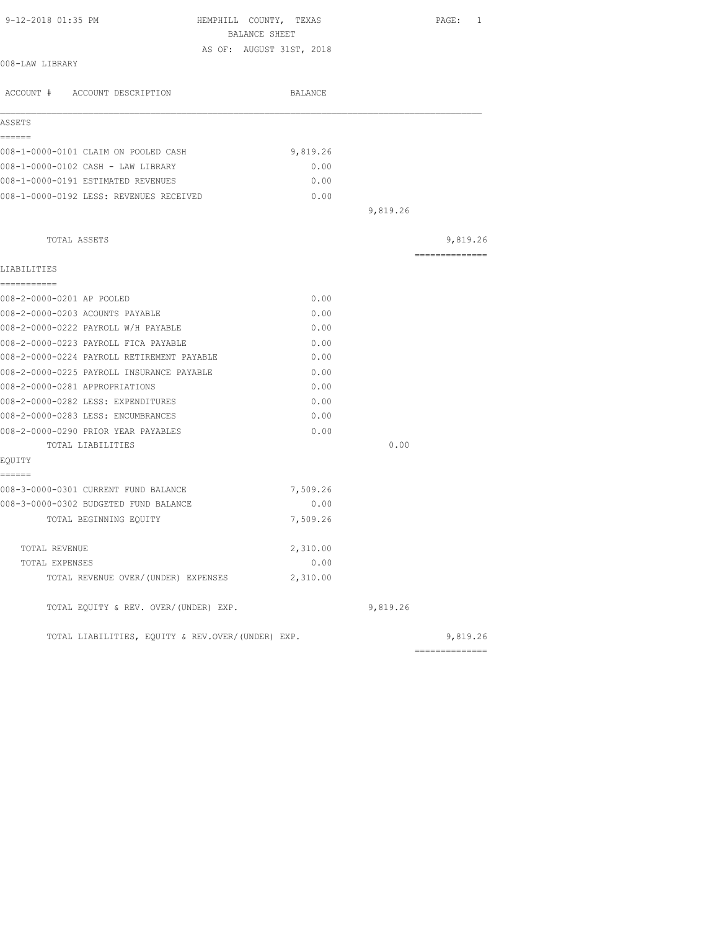| 9-12-2018 01:35 PM                                | HEMPHILL COUNTY, TEXAS<br>BALANCE SHEET | PAGE:          | 1 |
|---------------------------------------------------|-----------------------------------------|----------------|---|
|                                                   | AS OF: AUGUST 31ST, 2018                |                |   |
| 008-LAW LIBRARY                                   |                                         |                |   |
| ACCOUNT # ACCOUNT DESCRIPTION                     | BALANCE                                 |                |   |
| ASSETS                                            |                                         |                |   |
| ------                                            |                                         |                |   |
| 008-1-0000-0101 CLAIM ON POOLED CASH              | 9,819.26                                |                |   |
| 008-1-0000-0102 CASH - LAW LIBRARY                | 0.00                                    |                |   |
| 008-1-0000-0191 ESTIMATED REVENUES                | 0.00                                    |                |   |
| 008-1-0000-0192 LESS: REVENUES RECEIVED           | 0.00                                    |                |   |
|                                                   |                                         | 9,819.26       |   |
| TOTAL ASSETS                                      |                                         | 9,819.26       |   |
| LIABILITIES                                       |                                         | ============== |   |
| ===========                                       |                                         |                |   |
| 008-2-0000-0201 AP POOLED                         | 0.00                                    |                |   |
| 008-2-0000-0203 ACOUNTS PAYABLE                   | 0.00                                    |                |   |
| 008-2-0000-0222 PAYROLL W/H PAYABLE               | 0.00                                    |                |   |
| 008-2-0000-0223 PAYROLL FICA PAYABLE              | 0.00                                    |                |   |
| 008-2-0000-0224 PAYROLL RETIREMENT PAYABLE        | 0.00                                    |                |   |
| 008-2-0000-0225 PAYROLL INSURANCE PAYABLE         | 0.00                                    |                |   |
| 008-2-0000-0281 APPROPRIATIONS                    | 0.00                                    |                |   |
| 008-2-0000-0282 LESS: EXPENDITURES                | 0.00                                    |                |   |
| 008-2-0000-0283 LESS: ENCUMBRANCES                | 0.00                                    |                |   |
| 008-2-0000-0290 PRIOR YEAR PAYABLES               | 0.00                                    |                |   |
| TOTAL LIABILITIES                                 |                                         | 0.00           |   |
| EQUITY                                            |                                         |                |   |
| ======<br>008-3-0000-0301 CURRENT FUND BALANCE    | 7,509.26                                |                |   |
| 008-3-0000-0302 BUDGETED FUND BALANCE             | 0.00                                    |                |   |
| TOTAL BEGINNING EQUITY                            | 7,509.26                                |                |   |
| TOTAL REVENUE                                     | 2,310.00                                |                |   |
| TOTAL EXPENSES                                    | 0.00                                    |                |   |
| TOTAL REVENUE OVER/(UNDER) EXPENSES               | 2,310.00                                |                |   |
| TOTAL EQUITY & REV. OVER/(UNDER) EXP.             |                                         | 9,819.26       |   |
| TOTAL LIABILITIES, EQUITY & REV.OVER/(UNDER) EXP. |                                         | 9,819.26       |   |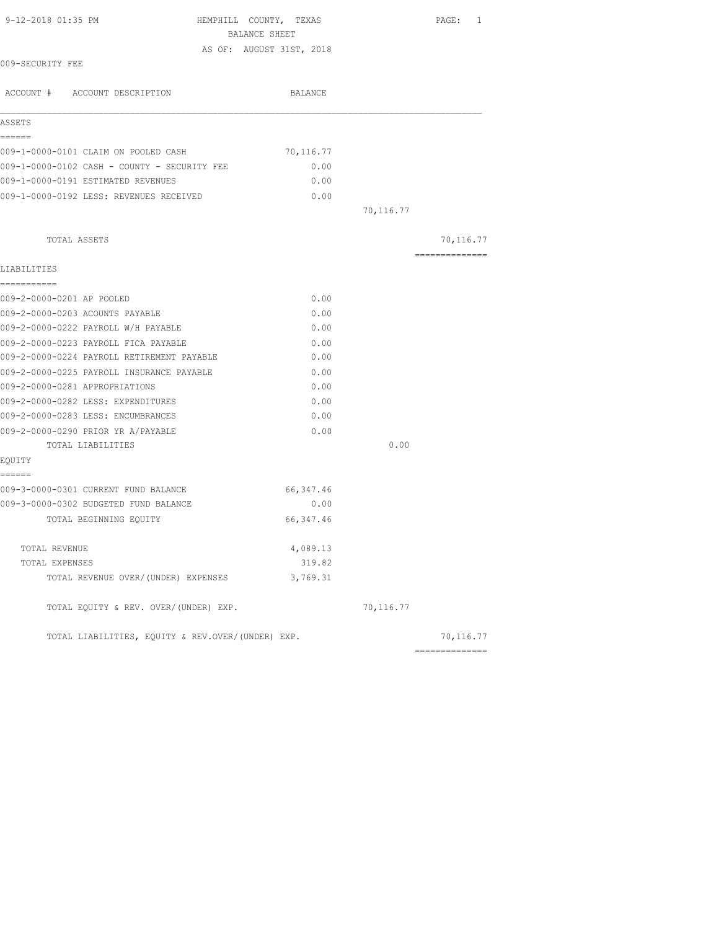| 9-12-2018 01:35 PM                                | HEMPHILL COUNTY, TEXAS<br>BALANCE SHEET |           | PAGE: 1        |
|---------------------------------------------------|-----------------------------------------|-----------|----------------|
|                                                   | AS OF: AUGUST 31ST, 2018                |           |                |
| 009-SECURITY FEE                                  |                                         |           |                |
| ACCOUNT # ACCOUNT DESCRIPTION                     | BALANCE                                 |           |                |
| ASSETS                                            |                                         |           |                |
| ------                                            |                                         |           |                |
| 009-1-0000-0101 CLAIM ON POOLED CASH              | 70,116.77                               |           |                |
| 009-1-0000-0102 CASH - COUNTY - SECURITY FEE      | 0.00                                    |           |                |
| 009-1-0000-0191 ESTIMATED REVENUES                | 0.00                                    |           |                |
| 009-1-0000-0192 LESS: REVENUES RECEIVED           | 0.00                                    |           |                |
|                                                   |                                         | 70,116.77 |                |
| TOTAL ASSETS                                      |                                         |           | 70,116.77      |
| LIABILITIES                                       |                                         |           | ============== |
| ===========                                       |                                         |           |                |
| 009-2-0000-0201 AP POOLED                         | 0.00                                    |           |                |
| 009-2-0000-0203 ACOUNTS PAYABLE                   | 0.00                                    |           |                |
| 009-2-0000-0222 PAYROLL W/H PAYABLE               | 0.00                                    |           |                |
| 009-2-0000-0223 PAYROLL FICA PAYABLE              | 0.00                                    |           |                |
| 009-2-0000-0224 PAYROLL RETIREMENT PAYABLE        | 0.00                                    |           |                |
| 009-2-0000-0225 PAYROLL INSURANCE PAYABLE         | 0.00                                    |           |                |
| 009-2-0000-0281 APPROPRIATIONS                    | 0.00                                    |           |                |
| 009-2-0000-0282 LESS: EXPENDITURES                | 0.00                                    |           |                |
| 009-2-0000-0283 LESS: ENCUMBRANCES                | 0.00                                    |           |                |
| 009-2-0000-0290 PRIOR YR A/PAYABLE                | 0.00                                    |           |                |
| TOTAL LIABILITIES                                 |                                         | 0.00      |                |
| EQUITY<br>------                                  |                                         |           |                |
| 009-3-0000-0301 CURRENT FUND BALANCE              | 66, 347.46                              |           |                |
| 009-3-0000-0302 BUDGETED FUND BALANCE             | 0.00                                    |           |                |
| TOTAL BEGINNING EQUITY                            | 66, 347.46                              |           |                |
| TOTAL REVENUE                                     | 4,089.13                                |           |                |
| TOTAL EXPENSES                                    | 319.82                                  |           |                |
| TOTAL REVENUE OVER/(UNDER) EXPENSES               | 3,769.31                                |           |                |
| TOTAL EQUITY & REV. OVER/(UNDER) EXP.             |                                         | 70,116.77 |                |
| TOTAL LIABILITIES, EQUITY & REV.OVER/(UNDER) EXP. |                                         |           | 70,116.77      |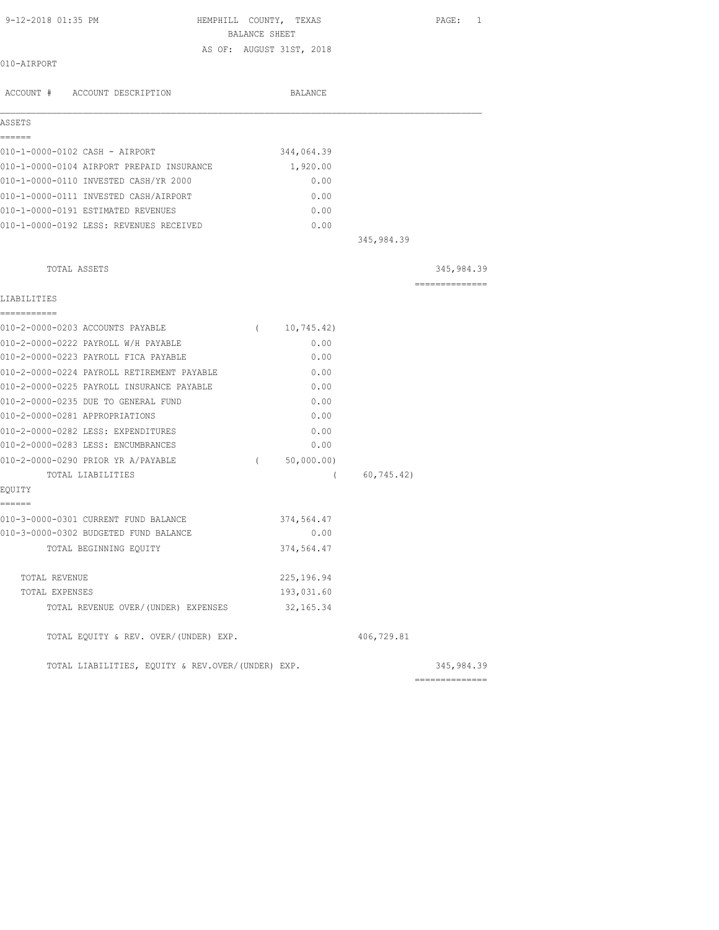| 9-12-2018 01:35 PM                                | HEMPHILL COUNTY, TEXAS<br>BALANCE SHEET |             |            | PAGE:<br>$\mathbf{1}$ |
|---------------------------------------------------|-----------------------------------------|-------------|------------|-----------------------|
|                                                   | AS OF: AUGUST 31ST, 2018                |             |            |                       |
| 010-AIRPORT                                       |                                         |             |            |                       |
| ACCOUNT # ACCOUNT DESCRIPTION                     |                                         | BALANCE     |            |                       |
| ASSETS                                            |                                         |             |            |                       |
| ======<br>010-1-0000-0102 CASH - AIRPORT          |                                         | 344,064.39  |            |                       |
| 010-1-0000-0104 AIRPORT PREPAID INSURANCE         |                                         | 1,920.00    |            |                       |
| 010-1-0000-0110 INVESTED CASH/YR 2000             |                                         | 0.00        |            |                       |
| 010-1-0000-0111 INVESTED CASH/AIRPORT             |                                         | 0.00        |            |                       |
| 010-1-0000-0191 ESTIMATED REVENUES                |                                         | 0.00        |            |                       |
| 010-1-0000-0192 LESS: REVENUES RECEIVED           |                                         | 0.00        |            |                       |
|                                                   |                                         |             | 345,984.39 |                       |
| TOTAL ASSETS                                      |                                         |             |            | 345,984.39            |
| LIABILITIES                                       |                                         |             |            | ---------------       |
| ===========<br>010-2-0000-0203 ACCOUNTS PAYABLE   | $\sqrt{2}$                              | 10,745.42)  |            |                       |
| 010-2-0000-0222 PAYROLL W/H PAYABLE               |                                         | 0.00        |            |                       |
| 010-2-0000-0223 PAYROLL FICA PAYABLE              |                                         | 0.00        |            |                       |
| 010-2-0000-0224 PAYROLL RETIREMENT PAYABLE        |                                         | 0.00        |            |                       |
| 010-2-0000-0225 PAYROLL INSURANCE PAYABLE         |                                         | 0.00        |            |                       |
| 010-2-0000-0235 DUE TO GENERAL FUND               |                                         | 0.00        |            |                       |
| 010-2-0000-0281 APPROPRIATIONS                    |                                         | 0.00        |            |                       |
| 010-2-0000-0282 LESS: EXPENDITURES                |                                         | 0.00        |            |                       |
| 010-2-0000-0283 LESS: ENCUMBRANCES                |                                         | 0.00        |            |                       |
| 010-2-0000-0290 PRIOR YR A/PAYABLE                | $\sqrt{2}$                              | 50,000.00)  |            |                       |
| TOTAL LIABILITIES                                 |                                         | $\left($    | 60,745.42) |                       |
| EQUITY                                            |                                         |             |            |                       |
| ------<br>010-3-0000-0301 CURRENT FUND BALANCE    |                                         | 374,564.47  |            |                       |
| 010-3-0000-0302 BUDGETED FUND BALANCE             |                                         | 0.00        |            |                       |
| TOTAL BEGINNING EQUITY                            |                                         | 374,564.47  |            |                       |
| TOTAL REVENUE                                     |                                         | 225, 196.94 |            |                       |
| TOTAL EXPENSES                                    |                                         | 193,031.60  |            |                       |
| TOTAL REVENUE OVER/(UNDER) EXPENSES               |                                         | 32, 165.34  |            |                       |
| TOTAL EQUITY & REV. OVER/(UNDER) EXP.             |                                         |             | 406,729.81 |                       |
| TOTAL LIABILITIES, EQUITY & REV.OVER/(UNDER) EXP. |                                         |             |            | 345,984.39            |
|                                                   |                                         |             |            |                       |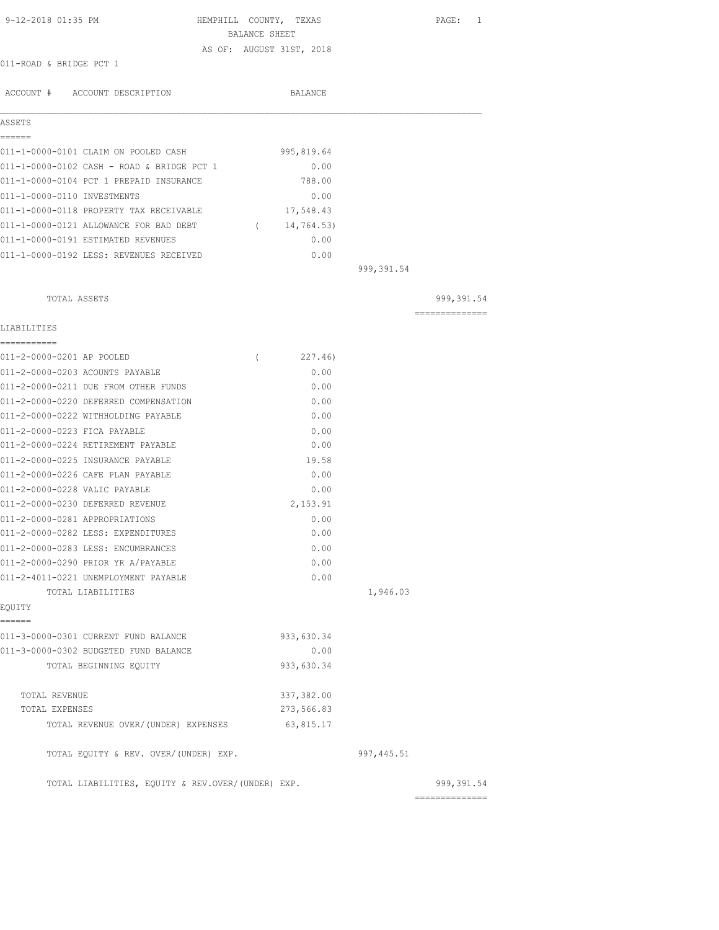| 9-12-2018 01:35 PM                                | HEMPHILL COUNTY, TEXAS<br>BALANCE SHEET | PAGE: 1                       |
|---------------------------------------------------|-----------------------------------------|-------------------------------|
|                                                   | AS OF: AUGUST 31ST, 2018                |                               |
| 011-ROAD & BRIDGE PCT 1                           |                                         |                               |
|                                                   |                                         |                               |
| ACCOUNT # ACCOUNT DESCRIPTION                     | BALANCE                                 |                               |
| ASSETS                                            |                                         |                               |
| ------                                            |                                         |                               |
| 011-1-0000-0101 CLAIM ON POOLED CASH              | 995,819.64                              |                               |
| 011-1-0000-0102 CASH - ROAD & BRIDGE PCT 1        | 0.00                                    |                               |
| 011-1-0000-0104 PCT 1 PREPAID INSURANCE           | 788.00                                  |                               |
| 011-1-0000-0110 INVESTMENTS                       | 0.00                                    |                               |
| 011-1-0000-0118 PROPERTY TAX RECEIVABLE           | 17,548.43                               |                               |
| 011-1-0000-0121 ALLOWANCE FOR BAD DEBT            | 14,764.53)<br>$\left($                  |                               |
| 011-1-0000-0191 ESTIMATED REVENUES                | 0.00                                    |                               |
| 011-1-0000-0192 LESS: REVENUES RECEIVED           | 0.00                                    |                               |
|                                                   |                                         | 999,391.54                    |
| TOTAL ASSETS                                      |                                         | 999, 391.54                   |
|                                                   |                                         | ---------------               |
| LIABILITIES                                       |                                         |                               |
| ===========<br>011-2-0000-0201 AP POOLED          | 227.46)<br>$\left($                     |                               |
| 011-2-0000-0203 ACOUNTS PAYABLE                   | 0.00                                    |                               |
| 011-2-0000-0211 DUE FROM OTHER FUNDS              | 0.00                                    |                               |
| 011-2-0000-0220 DEFERRED COMPENSATION             | 0.00                                    |                               |
| 011-2-0000-0222 WITHHOLDING PAYABLE               | 0.00                                    |                               |
| 011-2-0000-0223 FICA PAYABLE                      | 0.00                                    |                               |
| 011-2-0000-0224 RETIREMENT PAYABLE                | 0.00                                    |                               |
| 011-2-0000-0225 INSURANCE PAYABLE                 | 19.58                                   |                               |
| 011-2-0000-0226 CAFE PLAN PAYABLE                 | 0.00                                    |                               |
| 011-2-0000-0228 VALIC PAYABLE                     | 0.00                                    |                               |
| 011-2-0000-0230 DEFERRED REVENUE                  | 2,153.91                                |                               |
| 011-2-0000-0281 APPROPRIATIONS                    | 0.00                                    |                               |
| 011-2-0000-0282 LESS: EXPENDITURES                | 0.00                                    |                               |
| 011-2-0000-0283 LESS: ENCUMBRANCES                | 0.00                                    |                               |
| 011-2-0000-0290 PRIOR YR A/PAYABLE                | 0.00                                    |                               |
| 011-2-4011-0221 UNEMPLOYMENT PAYABLE              | 0.00                                    |                               |
| TOTAL LIABILITIES<br>EQUITY                       |                                         | 1,946.03                      |
| ------                                            |                                         |                               |
| 011-3-0000-0301 CURRENT FUND BALANCE              | 933,630.34                              |                               |
| 011-3-0000-0302 BUDGETED FUND BALANCE             | 0.00                                    |                               |
| TOTAL BEGINNING EOUITY                            | 933,630.34                              |                               |
| TOTAL REVENUE                                     | 337,382.00                              |                               |
| TOTAL EXPENSES                                    | 273,566.83                              |                               |
| TOTAL REVENUE OVER/ (UNDER) EXPENSES              | 63,815.17                               |                               |
| TOTAL EQUITY & REV. OVER/(UNDER) EXP.             |                                         | 997, 445.51                   |
| TOTAL LIABILITIES, EQUITY & REV.OVER/(UNDER) EXP. |                                         | 999, 391.54<br>============== |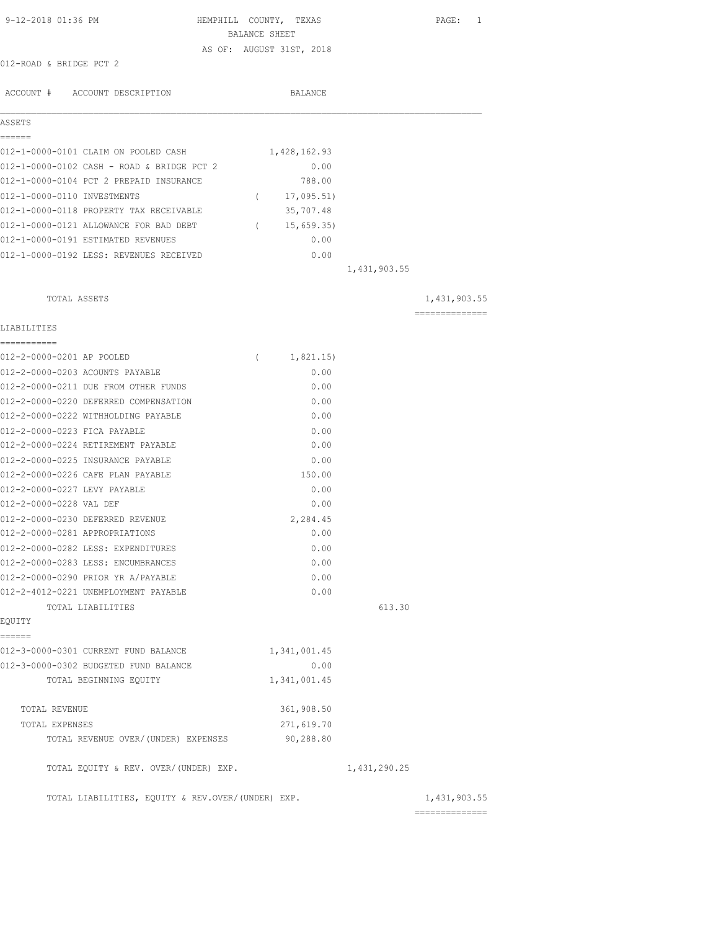| 9-12-2018 01:36 PM                                                 | HEMPHILL COUNTY, TEXAS<br>BALANCE SHEET |              | PAGE: 1        |
|--------------------------------------------------------------------|-----------------------------------------|--------------|----------------|
| 012-ROAD & BRIDGE PCT 2                                            | AS OF: AUGUST 31ST, 2018                |              |                |
| ACCOUNT # ACCOUNT DESCRIPTION                                      | BALANCE                                 |              |                |
| ASSETS                                                             |                                         |              |                |
| ======                                                             |                                         |              |                |
| 012-1-0000-0101 CLAIM ON POOLED CASH                               | 1,428,162.93                            |              |                |
| 012-1-0000-0102 CASH - ROAD & BRIDGE PCT 2                         | 0.00                                    |              |                |
| 012-1-0000-0104 PCT 2 PREPAID INSURANCE                            | 788.00                                  |              |                |
| 012-1-0000-0110 INVESTMENTS                                        | 17,095.51)<br>$\sqrt{2}$                |              |                |
| 012-1-0000-0118 PROPERTY TAX RECEIVABLE                            | 35,707.48                               |              |                |
| 012-1-0000-0121 ALLOWANCE FOR BAD DEBT                             | (15, 659.35)                            |              |                |
| 012-1-0000-0191 ESTIMATED REVENUES                                 | 0.00                                    |              |                |
| 012-1-0000-0192 LESS: REVENUES RECEIVED                            | 0.00                                    |              |                |
|                                                                    |                                         | 1,431,903.55 |                |
| TOTAL ASSETS                                                       |                                         |              | 1,431,903.55   |
| LIABILITIES                                                        |                                         |              | ============== |
| ===========                                                        |                                         |              |                |
| 012-2-0000-0201 AP POOLED                                          | 1,821.15)<br>$\left($                   |              |                |
| 012-2-0000-0203 ACOUNTS PAYABLE                                    | 0.00                                    |              |                |
| 012-2-0000-0211 DUE FROM OTHER FUNDS                               | 0.00                                    |              |                |
| 012-2-0000-0220 DEFERRED COMPENSATION                              | 0.00                                    |              |                |
| 012-2-0000-0222 WITHHOLDING PAYABLE                                | 0.00                                    |              |                |
| 012-2-0000-0223 FICA PAYABLE<br>012-2-0000-0224 RETIREMENT PAYABLE | 0.00<br>0.00                            |              |                |
| 012-2-0000-0225 INSURANCE PAYABLE                                  | 0.00                                    |              |                |
| 012-2-0000-0226 CAFE PLAN PAYABLE                                  | 150.00                                  |              |                |
| 012-2-0000-0227 LEVY PAYABLE                                       | 0.00                                    |              |                |
| 012-2-0000-0228 VAL DEF                                            | 0.00                                    |              |                |
| 012-2-0000-0230 DEFERRED REVENUE                                   | 2,284.45                                |              |                |
| 012-2-0000-0281 APPROPRIATIONS                                     | 0.00                                    |              |                |
| 012-2-0000-0282 LESS: EXPENDITURES                                 | 0.00                                    |              |                |
| 012-2-0000-0283 LESS: ENCUMBRANCES                                 | 0.00                                    |              |                |
| 012-2-0000-0290 PRIOR YR A/PAYABLE                                 | 0.00                                    |              |                |
| 012-2-4012-0221 UNEMPLOYMENT PAYABLE                               | 0.00                                    |              |                |
| TOTAL LIABILITIES                                                  |                                         | 613.30       |                |
| EQUITY                                                             |                                         |              |                |
| ======                                                             |                                         |              |                |
| 012-3-0000-0301 CURRENT FUND BALANCE                               | 1,341,001.45                            |              |                |
| 012-3-0000-0302 BUDGETED FUND BALANCE<br>TOTAL BEGINNING EQUITY    | 0.00<br>1,341,001.45                    |              |                |
|                                                                    |                                         |              |                |
| TOTAL REVENUE                                                      | 361,908.50                              |              |                |
| TOTAL EXPENSES                                                     | 271,619.70                              |              |                |
| TOTAL REVENUE OVER/(UNDER) EXPENSES                                | 90,288.80                               |              |                |
| TOTAL EQUITY & REV. OVER/(UNDER) EXP.                              |                                         | 1,431,290.25 |                |
| TOTAL LIABILITIES, EQUITY & REV.OVER/(UNDER) EXP.                  |                                         |              | 1,431,903.55   |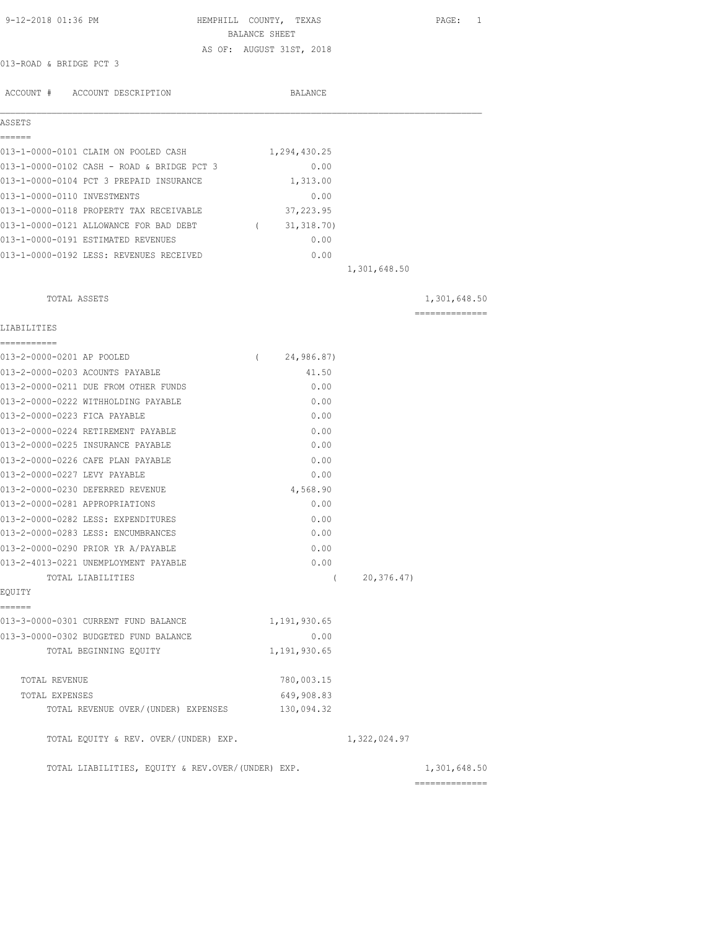| 9-12-2018 01:36 PM                                 |            | HEMPHILL COUNTY, TEXAS   |              | PAGE: 1                         |
|----------------------------------------------------|------------|--------------------------|--------------|---------------------------------|
|                                                    |            | BALANCE SHEET            |              |                                 |
| 013-ROAD & BRIDGE PCT 3                            |            | AS OF: AUGUST 31ST, 2018 |              |                                 |
|                                                    |            |                          |              |                                 |
| ACCOUNT # ACCOUNT DESCRIPTION                      |            | BALANCE                  |              |                                 |
|                                                    |            |                          |              |                                 |
| ASSETS<br>======                                   |            |                          |              |                                 |
| 013-1-0000-0101 CLAIM ON POOLED CASH               |            | 1,294,430.25             |              |                                 |
| 013-1-0000-0102 CASH - ROAD & BRIDGE PCT 3         |            | 0.00                     |              |                                 |
| 013-1-0000-0104 PCT 3 PREPAID INSURANCE            |            | 1,313.00                 |              |                                 |
| 013-1-0000-0110 INVESTMENTS                        |            | 0.00                     |              |                                 |
| 013-1-0000-0118 PROPERTY TAX RECEIVABLE            |            | 37,223.95                |              |                                 |
| 013-1-0000-0121 ALLOWANCE FOR BAD DEBT (31,318.70) |            |                          |              |                                 |
| 013-1-0000-0191 ESTIMATED REVENUES                 |            | 0.00                     |              |                                 |
| 013-1-0000-0192 LESS: REVENUES RECEIVED            |            | 0.00                     |              |                                 |
|                                                    |            |                          | 1,301,648.50 |                                 |
|                                                    |            |                          |              |                                 |
| TOTAL ASSETS                                       |            |                          |              | 1,301,648.50<br>--------------- |
| LIABILITIES                                        |            |                          |              |                                 |
| 013-2-0000-0201 AP POOLED                          | $\sqrt{2}$ | 24,986.87)               |              |                                 |
| 013-2-0000-0203 ACOUNTS PAYABLE                    |            | 41.50                    |              |                                 |
| 013-2-0000-0211 DUE FROM OTHER FUNDS               |            | 0.00                     |              |                                 |
| 013-2-0000-0222 WITHHOLDING PAYABLE                |            | 0.00                     |              |                                 |
| 013-2-0000-0223 FICA PAYABLE                       |            | 0.00                     |              |                                 |
| 013-2-0000-0224 RETIREMENT PAYABLE                 |            | 0.00                     |              |                                 |
| 013-2-0000-0225 INSURANCE PAYABLE                  |            | 0.00                     |              |                                 |
| 013-2-0000-0226 CAFE PLAN PAYABLE                  |            | 0.00                     |              |                                 |
| 013-2-0000-0227 LEVY PAYABLE                       |            | 0.00                     |              |                                 |
| 013-2-0000-0230 DEFERRED REVENUE                   |            | 4,568.90                 |              |                                 |
| 013-2-0000-0281 APPROPRIATIONS                     |            | 0.00                     |              |                                 |
| 013-2-0000-0282 LESS: EXPENDITURES                 |            | 0.00                     |              |                                 |
| 013-2-0000-0283 LESS: ENCUMBRANCES                 |            | 0.00                     |              |                                 |
| 013-2-0000-0290 PRIOR YR A/PAYABLE                 |            | 0.00                     |              |                                 |
| 013-2-4013-0221 UNEMPLOYMENT PAYABLE               |            | 0.00                     |              |                                 |
| TOTAL LIABILITIES                                  |            | $\left($                 | 20, 376.47   |                                 |
| EQUITY                                             |            |                          |              |                                 |
| ======                                             |            |                          |              |                                 |
| 013-3-0000-0301 CURRENT FUND BALANCE               |            | 1,191,930.65             |              |                                 |
| 013-3-0000-0302 BUDGETED FUND BALANCE              |            | 0.00                     |              |                                 |
| TOTAL BEGINNING EQUITY                             |            | 1,191,930.65             |              |                                 |
| TOTAL REVENUE                                      |            | 780,003.15               |              |                                 |
| TOTAL EXPENSES                                     |            | 649,908.83               |              |                                 |
| TOTAL REVENUE OVER/(UNDER) EXPENSES                |            | 130,094.32               |              |                                 |
| TOTAL EQUITY & REV. OVER/(UNDER) EXP.              |            |                          | 1,322,024.97 |                                 |
| TOTAL LIABILITIES, EQUITY & REV.OVER/(UNDER) EXP.  |            |                          |              | 1,301,648.50                    |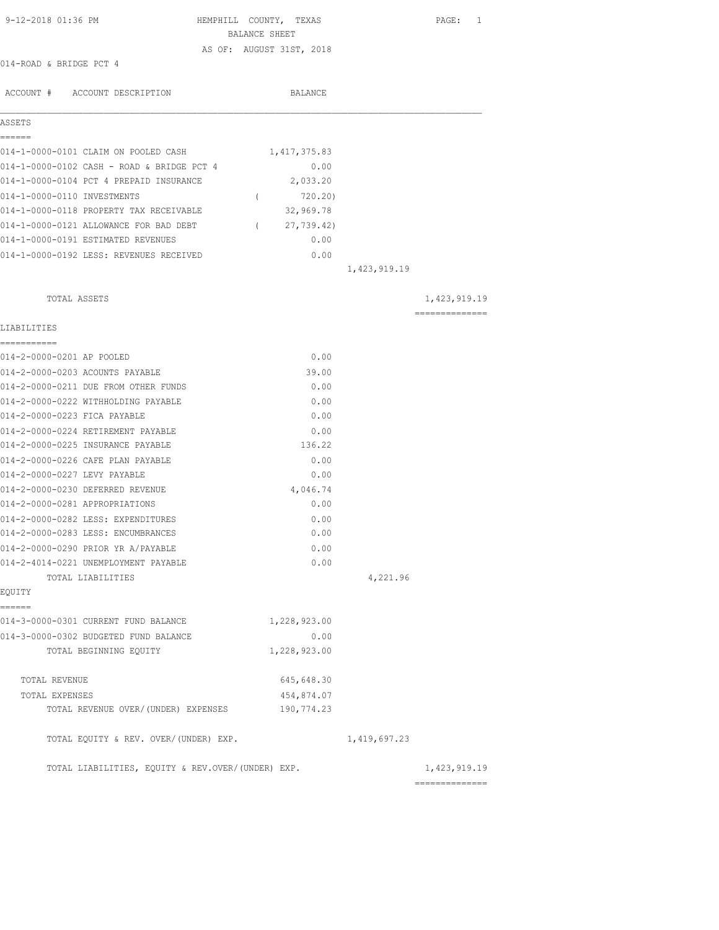| 9-12-2018 01:36 PM                                | HEMPHILL COUNTY, TEXAS<br>BALANCE SHEET | PAGE: 1                        |
|---------------------------------------------------|-----------------------------------------|--------------------------------|
|                                                   | AS OF: AUGUST 31ST, 2018                |                                |
| 014-ROAD & BRIDGE PCT 4                           |                                         |                                |
| ACCOUNT # ACCOUNT DESCRIPTION                     | BALANCE                                 |                                |
| ASSETS                                            |                                         |                                |
| ======                                            |                                         |                                |
| 014-1-0000-0101 CLAIM ON POOLED CASH              | 1,417,375.83                            |                                |
| 014-1-0000-0102 CASH - ROAD & BRIDGE PCT 4        | 0.00                                    |                                |
| 014-1-0000-0104 PCT 4 PREPAID INSURANCE           | 2,033.20                                |                                |
| 014-1-0000-0110 INVESTMENTS                       | 720.20)<br>$\left($                     |                                |
| 014-1-0000-0118 PROPERTY TAX RECEIVABLE           | 32,969.78                               |                                |
| 014-1-0000-0121 ALLOWANCE FOR BAD DEBT            | 27,739.42)<br>$\sqrt{2}$                |                                |
| 014-1-0000-0191 ESTIMATED REVENUES                | 0.00                                    |                                |
| 014-1-0000-0192 LESS: REVENUES RECEIVED           | 0.00                                    |                                |
|                                                   | 1,423,919.19                            |                                |
| TOTAL ASSETS                                      |                                         | 1,423,919.19                   |
| LIABILITIES                                       |                                         | ==============                 |
| 014-2-0000-0201 AP POOLED                         | 0.00                                    |                                |
| 014-2-0000-0203 ACOUNTS PAYABLE                   | 39.00                                   |                                |
| 014-2-0000-0211 DUE FROM OTHER FUNDS              | 0.00                                    |                                |
| 014-2-0000-0222 WITHHOLDING PAYABLE               | 0.00                                    |                                |
| 014-2-0000-0223 FICA PAYABLE                      | 0.00                                    |                                |
| 014-2-0000-0224 RETIREMENT PAYABLE                | 0.00                                    |                                |
| 014-2-0000-0225 INSURANCE PAYABLE                 | 136.22                                  |                                |
| 014-2-0000-0226 CAFE PLAN PAYABLE                 | 0.00                                    |                                |
| 014-2-0000-0227 LEVY PAYABLE                      | 0.00                                    |                                |
| 014-2-0000-0230 DEFERRED REVENUE                  | 4,046.74                                |                                |
| 014-2-0000-0281 APPROPRIATIONS                    | 0.00                                    |                                |
| 014-2-0000-0282 LESS: EXPENDITURES                | 0.00                                    |                                |
| 014-2-0000-0283 LESS: ENCUMBRANCES                | 0.00                                    |                                |
| 014-2-0000-0290 PRIOR YR A/PAYABLE                | 0.00                                    |                                |
| 014-2-4014-0221 UNEMPLOYMENT PAYABLE              | 0.00                                    |                                |
| TOTAL LIABILITIES                                 |                                         | 4,221.96                       |
| EOUITY                                            |                                         |                                |
| ======<br>014-3-0000-0301 CURRENT FUND BALANCE    | 1,228,923.00                            |                                |
| 014-3-0000-0302 BUDGETED FUND BALANCE             | 0.00                                    |                                |
| TOTAL BEGINNING EQUITY                            | 1,228,923.00                            |                                |
| TOTAL REVENUE                                     | 645,648.30                              |                                |
| TOTAL EXPENSES                                    | 454,874.07                              |                                |
| TOTAL REVENUE OVER/(UNDER) EXPENSES               | 190,774.23                              |                                |
| TOTAL EQUITY & REV. OVER/(UNDER) EXP.             |                                         | 1, 419, 697.23                 |
| TOTAL LIABILITIES, EQUITY & REV.OVER/(UNDER) EXP. |                                         | 1,423,919.19<br>-------------- |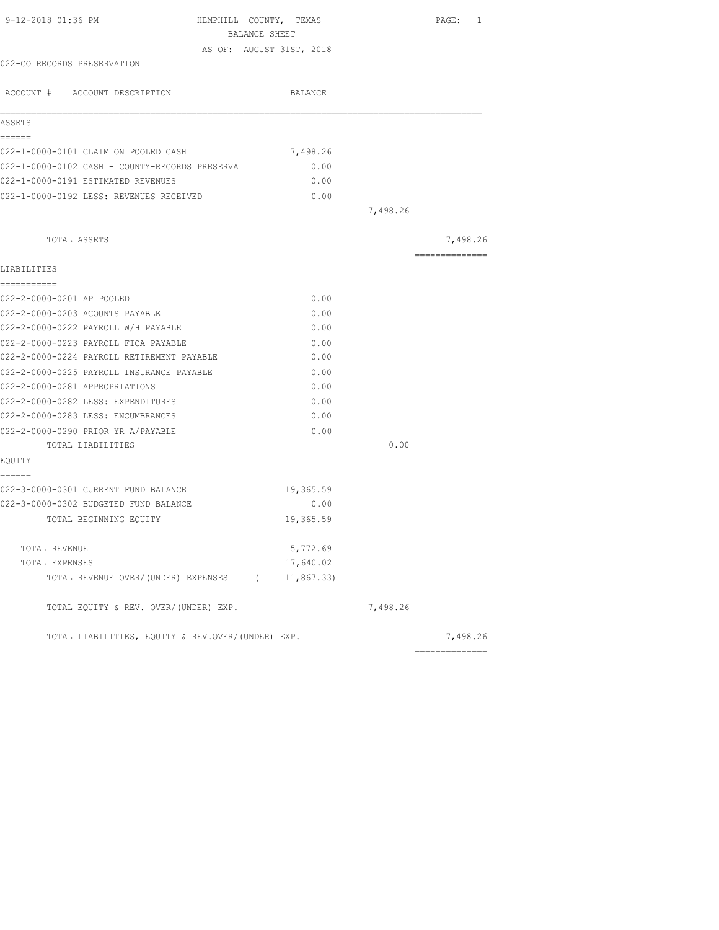| 9-12-2018 01:36 PM<br>HEMPHILL COUNTY, TEXAS      |            |          | PAGE: 1        |
|---------------------------------------------------|------------|----------|----------------|
| BALANCE SHEET                                     |            |          |                |
| AS OF: AUGUST 31ST, 2018                          |            |          |                |
| 022-CO RECORDS PRESERVATION                       |            |          |                |
| ACCOUNT # ACCOUNT DESCRIPTION                     | BALANCE    |          |                |
| ASSETS                                            |            |          |                |
| ------<br>022-1-0000-0101 CLAIM ON POOLED CASH    | 7,498.26   |          |                |
| 022-1-0000-0102 CASH - COUNTY-RECORDS PRESERVA    | 0.00       |          |                |
| 022-1-0000-0191 ESTIMATED REVENUES                | 0.00       |          |                |
| 022-1-0000-0192 LESS: REVENUES RECEIVED           | 0.00       |          |                |
|                                                   |            | 7,498.26 |                |
| TOTAL ASSETS                                      |            |          | 7,498.26       |
| LIABILITIES                                       |            |          | -------------- |
| ===========                                       |            |          |                |
| 022-2-0000-0201 AP POOLED                         | 0.00       |          |                |
| 022-2-0000-0203 ACOUNTS PAYABLE                   | 0.00       |          |                |
| 022-2-0000-0222 PAYROLL W/H PAYABLE               | 0.00       |          |                |
| 022-2-0000-0223 PAYROLL FICA PAYABLE              | 0.00       |          |                |
| 022-2-0000-0224 PAYROLL RETIREMENT PAYABLE        | 0.00       |          |                |
| 022-2-0000-0225 PAYROLL INSURANCE PAYABLE         | 0.00       |          |                |
| 022-2-0000-0281 APPROPRIATIONS                    | 0.00       |          |                |
| 022-2-0000-0282 LESS: EXPENDITURES                | 0.00       |          |                |
| 022-2-0000-0283 LESS: ENCUMBRANCES                | 0.00       |          |                |
| 022-2-0000-0290 PRIOR YR A/PAYABLE                | 0.00       |          |                |
| TOTAL LIABILITIES                                 |            | 0.00     |                |
| EOUITY                                            |            |          |                |
| ------<br>022-3-0000-0301 CURRENT FUND BALANCE    | 19,365.59  |          |                |
| 022-3-0000-0302 BUDGETED FUND BALANCE             | 0.00       |          |                |
| TOTAL BEGINNING EQUITY                            | 19,365.59  |          |                |
| TOTAL REVENUE                                     | 5,772.69   |          |                |
| TOTAL EXPENSES                                    | 17,640.02  |          |                |
| TOTAL REVENUE OVER/(UNDER) EXPENSES (             | 11,867.33) |          |                |
| TOTAL EQUITY & REV. OVER/(UNDER) EXP.             |            | 7,498.26 |                |
| TOTAL LIABILITIES, EQUITY & REV.OVER/(UNDER) EXP. |            |          | 7,498.26       |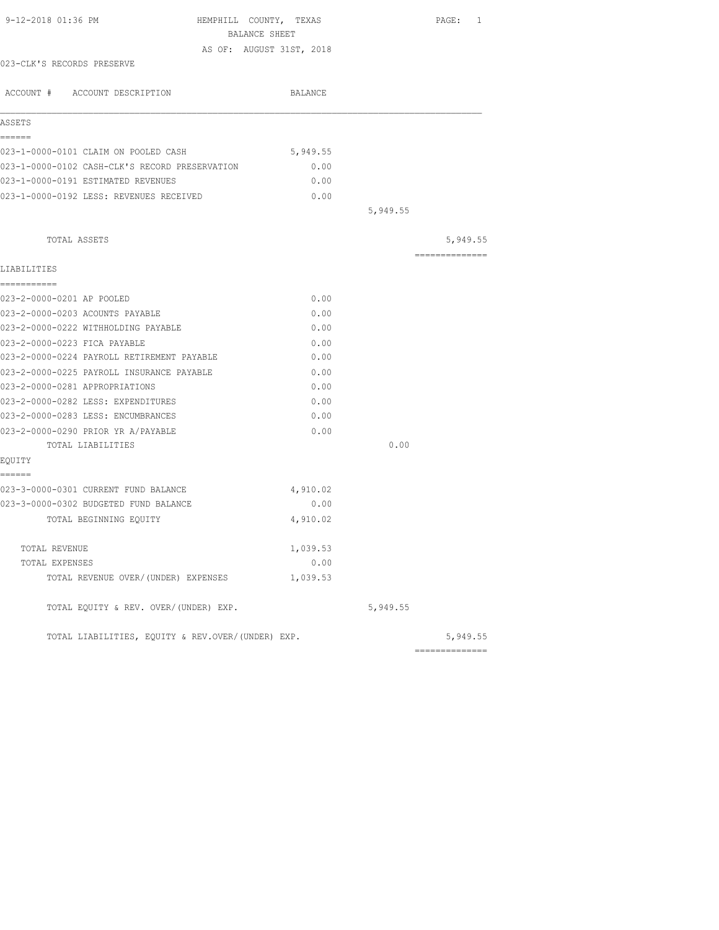| 9-12-2018 01:36 PM                                | HEMPHILL COUNTY, TEXAS   |          | PAGE: 1         |
|---------------------------------------------------|--------------------------|----------|-----------------|
|                                                   | BALANCE SHEET            |          |                 |
|                                                   | AS OF: AUGUST 31ST, 2018 |          |                 |
| 023-CLK'S RECORDS PRESERVE                        |                          |          |                 |
| ACCOUNT # ACCOUNT DESCRIPTION                     | BALANCE                  |          |                 |
| ASSETS                                            |                          |          |                 |
| ======<br>023-1-0000-0101 CLAIM ON POOLED CASH    | 5,949.55                 |          |                 |
| 023-1-0000-0102 CASH-CLK'S RECORD PRESERVATION    | 0.00                     |          |                 |
| 023-1-0000-0191 ESTIMATED REVENUES                | 0.00                     |          |                 |
| 023-1-0000-0192 LESS: REVENUES RECEIVED           | 0.00                     |          |                 |
|                                                   |                          | 5,949.55 |                 |
| TOTAL ASSETS                                      |                          |          | 5,949.55        |
|                                                   |                          |          | =============== |
| LIABILITIES                                       |                          |          |                 |
| ===========                                       |                          |          |                 |
| 023-2-0000-0201 AP POOLED                         | 0.00                     |          |                 |
| 023-2-0000-0203 ACOUNTS PAYABLE                   | 0.00                     |          |                 |
| 023-2-0000-0222 WITHHOLDING PAYABLE               | 0.00                     |          |                 |
| 023-2-0000-0223 FICA PAYABLE                      | 0.00                     |          |                 |
| 023-2-0000-0224 PAYROLL RETIREMENT PAYABLE        | 0.00                     |          |                 |
| 023-2-0000-0225 PAYROLL INSURANCE PAYABLE         | 0.00                     |          |                 |
| 023-2-0000-0281 APPROPRIATIONS                    | 0.00                     |          |                 |
| 023-2-0000-0282 LESS: EXPENDITURES                | 0.00                     |          |                 |
| 023-2-0000-0283 LESS: ENCUMBRANCES                | 0.00                     |          |                 |
| 023-2-0000-0290 PRIOR YR A/PAYABLE                | 0.00                     |          |                 |
| TOTAL LIABILITIES                                 |                          | 0.00     |                 |
| EOUITY                                            |                          |          |                 |
| ======                                            |                          |          |                 |
| 023-3-0000-0301 CURRENT FUND BALANCE              | 4,910.02                 |          |                 |
| 023-3-0000-0302 BUDGETED FUND BALANCE             | 0.00                     |          |                 |
| TOTAL BEGINNING EQUITY                            | 4,910.02                 |          |                 |
| TOTAL REVENUE                                     | 1,039.53                 |          |                 |
| TOTAL EXPENSES                                    | 0.00                     |          |                 |
| TOTAL REVENUE OVER/(UNDER) EXPENSES               | 1,039.53                 |          |                 |
| TOTAL EQUITY & REV. OVER/(UNDER) EXP.             |                          | 5,949.55 |                 |
| TOTAL LIABILITIES, EQUITY & REV.OVER/(UNDER) EXP. |                          |          | 5,949.55        |
|                                                   |                          |          | ==============  |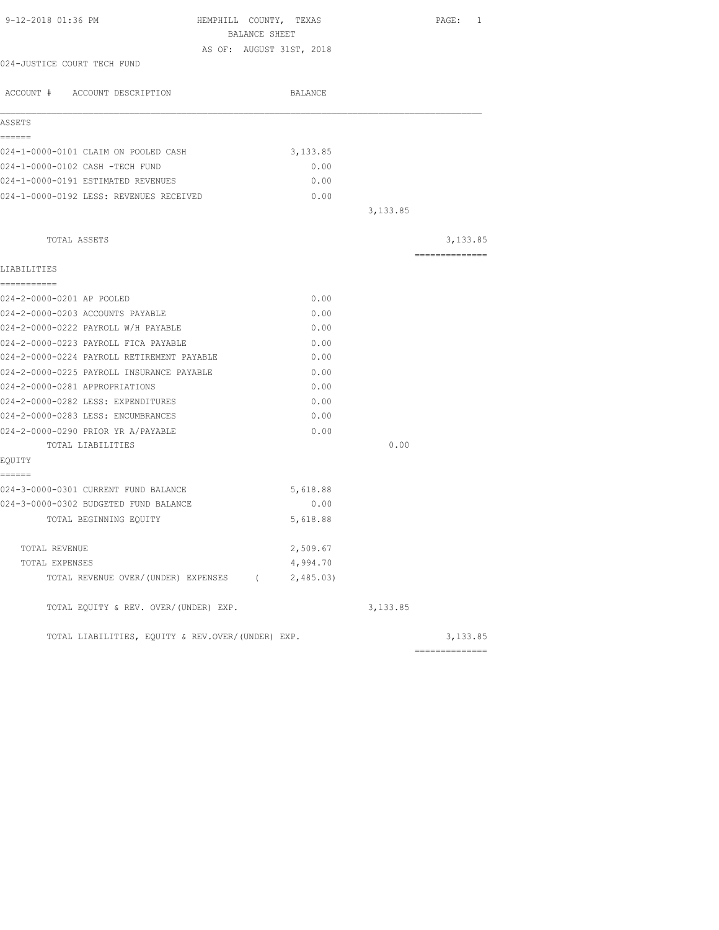|                                                   | BALANCE SHEET |          |                |
|---------------------------------------------------|---------------|----------|----------------|
| AS OF: AUGUST 31ST, 2018                          |               |          |                |
| 024-JUSTICE COURT TECH FUND                       |               |          |                |
| ACCOUNT # ACCOUNT DESCRIPTION                     | BALANCE       |          |                |
|                                                   |               |          |                |
| ASSETS                                            |               |          |                |
| ------                                            |               |          |                |
| 024-1-0000-0101 CLAIM ON POOLED CASH              | 3, 133.85     |          |                |
| 024-1-0000-0102 CASH -TECH FUND                   | 0.00          |          |                |
| 024-1-0000-0191 ESTIMATED REVENUES                | 0.00          |          |                |
| 024-1-0000-0192 LESS: REVENUES RECEIVED           | 0.00          |          |                |
|                                                   |               | 3,133.85 |                |
| TOTAL ASSETS                                      |               |          | 3,133.85       |
| LIABILITIES                                       |               |          | ============== |
| ===========                                       |               |          |                |
| 024-2-0000-0201 AP POOLED                         | 0.00          |          |                |
| 024-2-0000-0203 ACCOUNTS PAYABLE                  | 0.00          |          |                |
| 024-2-0000-0222 PAYROLL W/H PAYABLE               | 0.00          |          |                |
| 024-2-0000-0223 PAYROLL FICA PAYABLE              | 0.00          |          |                |
| 024-2-0000-0224 PAYROLL RETIREMENT PAYABLE        | 0.00          |          |                |
| 024-2-0000-0225 PAYROLL INSURANCE PAYABLE         | 0.00          |          |                |
| 024-2-0000-0281 APPROPRIATIONS                    | 0.00          |          |                |
| 024-2-0000-0282 LESS: EXPENDITURES                | 0.00          |          |                |
| 024-2-0000-0283 LESS: ENCUMBRANCES                | 0.00          |          |                |
| 024-2-0000-0290 PRIOR YR A/PAYABLE                | 0.00          |          |                |
| TOTAL LIABILITIES                                 |               | 0.00     |                |
| EQUITY                                            |               |          |                |
| ======<br>024-3-0000-0301 CURRENT FUND BALANCE    | 5,618.88      |          |                |
| 024-3-0000-0302 BUDGETED FUND BALANCE             | 0.00          |          |                |
| TOTAL BEGINNING EQUITY                            | 5,618.88      |          |                |
|                                                   |               |          |                |
| TOTAL REVENUE                                     | 2,509.67      |          |                |
| TOTAL EXPENSES                                    | 4,994.70      |          |                |
| TOTAL REVENUE OVER/(UNDER) EXPENSES (2,485.03)    |               |          |                |
| TOTAL EQUITY & REV. OVER/(UNDER) EXP.             |               | 3,133.85 |                |
| TOTAL LIABILITIES, EOUITY & REV.OVER/(UNDER) EXP. |               |          | 3,133.85       |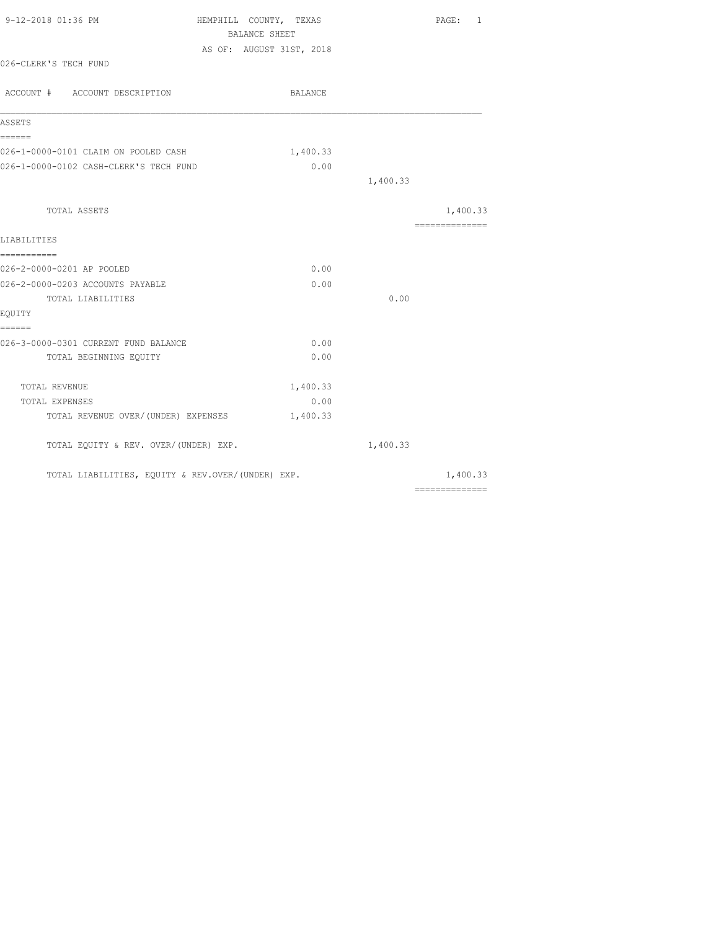| 9-12-2018 01:36 PM                                | HEMPHILL COUNTY, TEXAS   | PAGE: 1                                                                                                                                                                                                                                                                                                                                                                                                                                                                                |
|---------------------------------------------------|--------------------------|----------------------------------------------------------------------------------------------------------------------------------------------------------------------------------------------------------------------------------------------------------------------------------------------------------------------------------------------------------------------------------------------------------------------------------------------------------------------------------------|
|                                                   | BALANCE SHEET            |                                                                                                                                                                                                                                                                                                                                                                                                                                                                                        |
| 026-CLERK'S TECH FUND                             | AS OF: AUGUST 31ST, 2018 |                                                                                                                                                                                                                                                                                                                                                                                                                                                                                        |
| ACCOUNT # ACCOUNT DESCRIPTION                     | BALANCE                  |                                                                                                                                                                                                                                                                                                                                                                                                                                                                                        |
| ASSETS                                            |                          |                                                                                                                                                                                                                                                                                                                                                                                                                                                                                        |
| ======<br>026-1-0000-0101 CLAIM ON POOLED CASH    | 1,400.33                 |                                                                                                                                                                                                                                                                                                                                                                                                                                                                                        |
| 026-1-0000-0102 CASH-CLERK'S TECH FUND            | 0.00                     |                                                                                                                                                                                                                                                                                                                                                                                                                                                                                        |
|                                                   |                          | 1,400.33                                                                                                                                                                                                                                                                                                                                                                                                                                                                               |
| TOTAL ASSETS                                      |                          | 1,400.33                                                                                                                                                                                                                                                                                                                                                                                                                                                                               |
|                                                   |                          | $\begin{array}{cccccccccc} \multicolumn{2}{c}{} & \multicolumn{2}{c}{} & \multicolumn{2}{c}{} & \multicolumn{2}{c}{} & \multicolumn{2}{c}{} & \multicolumn{2}{c}{} & \multicolumn{2}{c}{} & \multicolumn{2}{c}{} & \multicolumn{2}{c}{} & \multicolumn{2}{c}{} & \multicolumn{2}{c}{} & \multicolumn{2}{c}{} & \multicolumn{2}{c}{} & \multicolumn{2}{c}{} & \multicolumn{2}{c}{} & \multicolumn{2}{c}{} & \multicolumn{2}{c}{} & \multicolumn{2}{c}{} & \multicolumn{2}{c}{} & \mult$ |
| LIABILITIES                                       |                          |                                                                                                                                                                                                                                                                                                                                                                                                                                                                                        |
| ===========<br>026-2-0000-0201 AP POOLED          | 0.00                     |                                                                                                                                                                                                                                                                                                                                                                                                                                                                                        |
| 026-2-0000-0203 ACCOUNTS PAYABLE                  | 0.00                     |                                                                                                                                                                                                                                                                                                                                                                                                                                                                                        |
| TOTAL LIABILITIES                                 |                          | 0.00                                                                                                                                                                                                                                                                                                                                                                                                                                                                                   |
| EQUITY<br>------                                  |                          |                                                                                                                                                                                                                                                                                                                                                                                                                                                                                        |
| 026-3-0000-0301 CURRENT FUND BALANCE              | 0.00                     |                                                                                                                                                                                                                                                                                                                                                                                                                                                                                        |
| TOTAL BEGINNING EQUITY                            | 0.00                     |                                                                                                                                                                                                                                                                                                                                                                                                                                                                                        |
| TOTAL REVENUE                                     | 1,400.33                 |                                                                                                                                                                                                                                                                                                                                                                                                                                                                                        |
| TOTAL EXPENSES                                    | 0.00                     |                                                                                                                                                                                                                                                                                                                                                                                                                                                                                        |
| TOTAL REVENUE OVER/(UNDER) EXPENSES               | 1,400.33                 |                                                                                                                                                                                                                                                                                                                                                                                                                                                                                        |
| TOTAL EQUITY & REV. OVER/(UNDER) EXP.             |                          | 1,400.33                                                                                                                                                                                                                                                                                                                                                                                                                                                                               |
| TOTAL LIABILITIES, EQUITY & REV.OVER/(UNDER) EXP. |                          | 1,400.33                                                                                                                                                                                                                                                                                                                                                                                                                                                                               |
|                                                   |                          | $\begin{array}{cccccccccc} \multicolumn{2}{c}{} & \multicolumn{2}{c}{} & \multicolumn{2}{c}{} & \multicolumn{2}{c}{} & \multicolumn{2}{c}{} & \multicolumn{2}{c}{} & \multicolumn{2}{c}{} & \multicolumn{2}{c}{} & \multicolumn{2}{c}{} & \multicolumn{2}{c}{} & \multicolumn{2}{c}{} & \multicolumn{2}{c}{} & \multicolumn{2}{c}{} & \multicolumn{2}{c}{} & \multicolumn{2}{c}{} & \multicolumn{2}{c}{} & \multicolumn{2}{c}{} & \multicolumn{2}{c}{} & \multicolumn{2}{c}{} & \mult$ |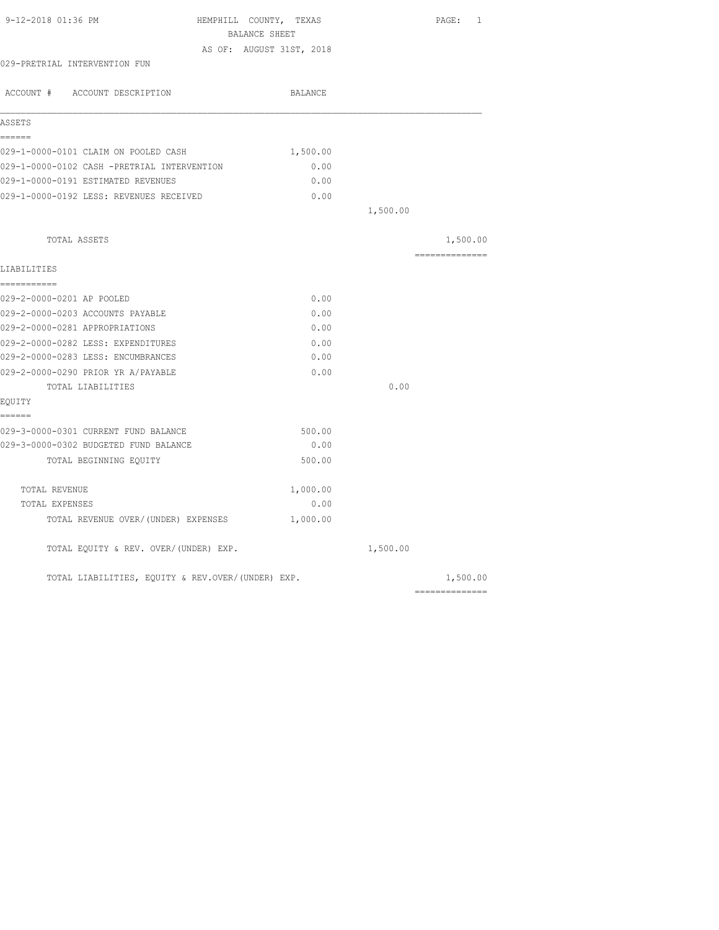| 9-12-2018 01:36 PM                                | HEMPHILL COUNTY, TEXAS   |          | PAGE: 1        |
|---------------------------------------------------|--------------------------|----------|----------------|
|                                                   | BALANCE SHEET            |          |                |
| 029-PRETRIAL INTERVENTION FUN                     | AS OF: AUGUST 31ST, 2018 |          |                |
| ACCOUNT # ACCOUNT DESCRIPTION                     | BALANCE                  |          |                |
|                                                   |                          |          |                |
| ASSETS                                            |                          |          |                |
| ======                                            |                          |          |                |
| 029-1-0000-0101 CLAIM ON POOLED CASH              | 1,500.00                 |          |                |
| 029-1-0000-0102 CASH -PRETRIAL INTERVENTION       | 0.00                     |          |                |
| 029-1-0000-0191 ESTIMATED REVENUES                | 0.00                     |          |                |
| 029-1-0000-0192 LESS: REVENUES RECEIVED           | 0.00                     |          |                |
|                                                   |                          | 1,500.00 |                |
| TOTAL ASSETS                                      |                          |          | 1,500.00       |
|                                                   |                          |          | ============== |
| LIABILITIES                                       |                          |          |                |
| ===========                                       |                          |          |                |
| 029-2-0000-0201 AP POOLED                         | 0.00                     |          |                |
| 029-2-0000-0203 ACCOUNTS PAYABLE                  | 0.00                     |          |                |
| 029-2-0000-0281 APPROPRIATIONS                    | 0.00                     |          |                |
| 029-2-0000-0282 LESS: EXPENDITURES                | 0.00                     |          |                |
| 029-2-0000-0283 LESS: ENCUMBRANCES                | 0.00                     |          |                |
| 029-2-0000-0290 PRIOR YR A/PAYABLE                | 0.00                     |          |                |
| TOTAL LIABILITIES                                 |                          | 0.00     |                |
| EQUITY                                            |                          |          |                |
| ======<br>029-3-0000-0301 CURRENT FUND BALANCE    | 500.00                   |          |                |
| 029-3-0000-0302 BUDGETED FUND BALANCE             | 0.00                     |          |                |
| TOTAL BEGINNING EQUITY                            | 500.00                   |          |                |
|                                                   |                          |          |                |
| TOTAL REVENUE                                     | 1,000.00                 |          |                |
| TOTAL EXPENSES                                    | 0.00                     |          |                |
| TOTAL REVENUE OVER/(UNDER) EXPENSES               | 1,000.00                 |          |                |
| TOTAL EQUITY & REV. OVER/(UNDER) EXP.             |                          | 1,500.00 |                |
| TOTAL LIABILITIES, EOUITY & REV.OVER/(UNDER) EXP. |                          |          | 1,500.00       |
|                                                   |                          |          | ============== |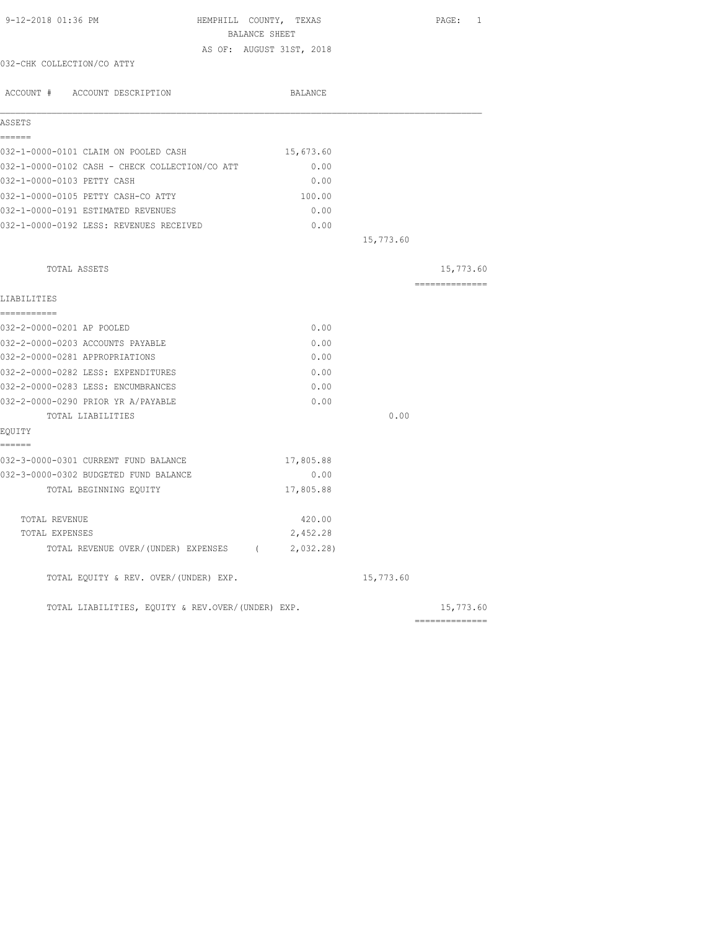| 9-12-2018 01:36 PM                                | HEMPHILL COUNTY, TEXAS   |           | PAGE: 1        |
|---------------------------------------------------|--------------------------|-----------|----------------|
|                                                   | BALANCE SHEET            |           |                |
|                                                   | AS OF: AUGUST 31ST, 2018 |           |                |
| 032-CHK COLLECTION/CO ATTY                        |                          |           |                |
| ACCOUNT # ACCOUNT DESCRIPTION                     | <b>BALANCE</b>           |           |                |
| ASSETS                                            |                          |           |                |
| ======                                            |                          |           |                |
| 032-1-0000-0101 CLAIM ON POOLED CASH              | 15,673.60                |           |                |
| 032-1-0000-0102 CASH - CHECK COLLECTION/CO ATT    | 0.00                     |           |                |
| 032-1-0000-0103 PETTY CASH                        | 0.00                     |           |                |
| 032-1-0000-0105 PETTY CASH-CO ATTY                | 100.00                   |           |                |
| 032-1-0000-0191 ESTIMATED REVENUES                | 0.00                     |           |                |
| 032-1-0000-0192 LESS: REVENUES RECEIVED           | 0.00                     |           |                |
|                                                   |                          | 15,773.60 |                |
| TOTAL ASSETS                                      |                          |           | 15,773.60      |
|                                                   |                          |           | ============== |
| LIABILITIES<br>-----------                        |                          |           |                |
| 032-2-0000-0201 AP POOLED                         | 0.00                     |           |                |
| 032-2-0000-0203 ACCOUNTS PAYABLE                  | 0.00                     |           |                |
| 032-2-0000-0281 APPROPRIATIONS                    | 0.00                     |           |                |
| 032-2-0000-0282 LESS: EXPENDITURES                | 0.00                     |           |                |
| 032-2-0000-0283 LESS: ENCUMBRANCES                | 0.00                     |           |                |
| 032-2-0000-0290 PRIOR YR A/PAYABLE                | 0.00                     |           |                |
| TOTAL LIABILITIES                                 |                          | 0.00      |                |
| EQUITY                                            |                          |           |                |
| ------<br>032-3-0000-0301 CURRENT FUND BALANCE    | 17,805.88                |           |                |
| 032-3-0000-0302 BUDGETED FUND BALANCE             | 0.00                     |           |                |
| TOTAL BEGINNING EOUITY                            | 17,805.88                |           |                |
| TOTAL REVENUE                                     | 420.00                   |           |                |
| TOTAL EXPENSES                                    | 2,452.28                 |           |                |
| TOTAL REVENUE OVER/(UNDER) EXPENSES (2,032.28)    |                          |           |                |
| TOTAL EQUITY & REV. OVER/(UNDER) EXP.             |                          | 15,773.60 |                |
| TOTAL LIABILITIES, EQUITY & REV.OVER/(UNDER) EXP. |                          |           | 15,773.60      |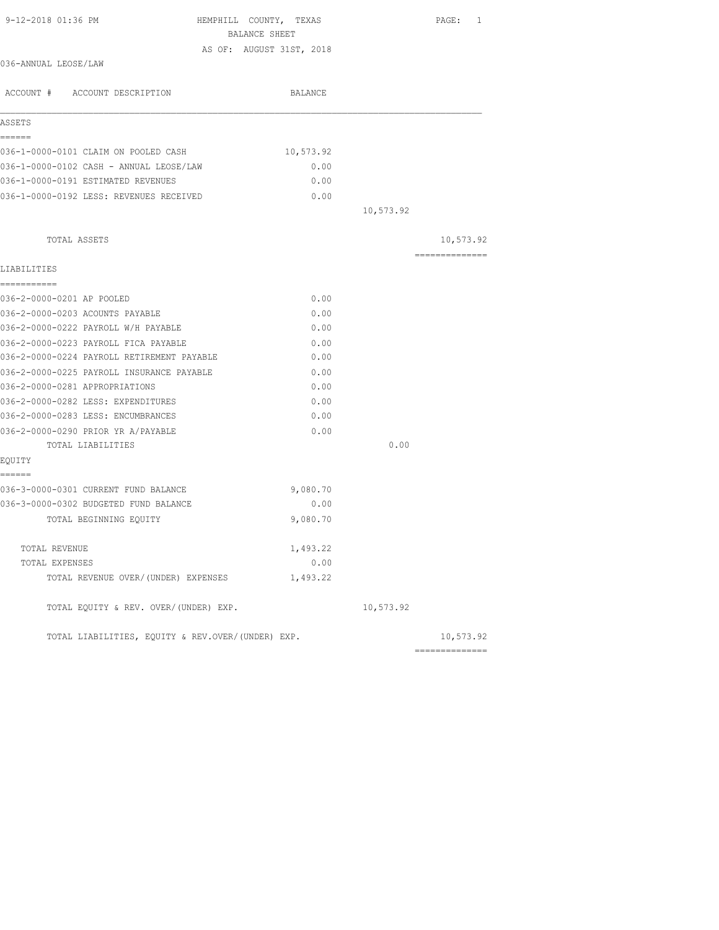| 9-12-2018 01:36 PM<br>HEMPHILL COUNTY, TEXAS<br>BALANCE SHEET |                          |           | PAGE: 1        |
|---------------------------------------------------------------|--------------------------|-----------|----------------|
|                                                               | AS OF: AUGUST 31ST, 2018 |           |                |
| 036-ANNUAL LEOSE/LAW                                          |                          |           |                |
| ACCOUNT # ACCOUNT DESCRIPTION                                 | BALANCE                  |           |                |
| ASSETS                                                        |                          |           |                |
| ======                                                        |                          |           |                |
| 036-1-0000-0101 CLAIM ON POOLED CASH                          | 10,573.92                |           |                |
| 036-1-0000-0102 CASH - ANNUAL LEOSE/LAW                       | 0.00                     |           |                |
| 036-1-0000-0191 ESTIMATED REVENUES                            | 0.00                     |           |                |
| 036-1-0000-0192 LESS: REVENUES RECEIVED                       | 0.00                     |           |                |
|                                                               |                          | 10,573.92 |                |
| TOTAL ASSETS                                                  |                          |           | 10,573.92      |
|                                                               |                          |           | -------------- |
| LIABILITIES                                                   |                          |           |                |
| ===========                                                   |                          |           |                |
| 036-2-0000-0201 AP POOLED                                     | 0.00                     |           |                |
| 036-2-0000-0203 ACOUNTS PAYABLE                               | 0.00                     |           |                |
| 036-2-0000-0222 PAYROLL W/H PAYABLE                           | 0.00                     |           |                |
| 036-2-0000-0223 PAYROLL FICA PAYABLE                          | 0.00                     |           |                |
| 036-2-0000-0224 PAYROLL RETIREMENT PAYABLE                    | 0.00                     |           |                |
| 036-2-0000-0225 PAYROLL INSURANCE PAYABLE                     | 0.00                     |           |                |
| 036-2-0000-0281 APPROPRIATIONS                                | 0.00                     |           |                |
| 036-2-0000-0282 LESS: EXPENDITURES                            | 0.00                     |           |                |
| 036-2-0000-0283 LESS: ENCUMBRANCES                            | 0.00                     |           |                |
| 036-2-0000-0290 PRIOR YR A/PAYABLE                            | 0.00                     |           |                |
| TOTAL LIABILITIES                                             |                          | 0.00      |                |
| EQUITY<br>------                                              |                          |           |                |
| 036-3-0000-0301 CURRENT FUND BALANCE                          | 9,080.70                 |           |                |
| 036-3-0000-0302 BUDGETED FUND BALANCE                         | 0.00                     |           |                |
| TOTAL BEGINNING EQUITY                                        | 9,080.70                 |           |                |
| TOTAL REVENUE                                                 | 1,493.22                 |           |                |
| TOTAL EXPENSES                                                | 0.00                     |           |                |
| TOTAL REVENUE OVER/(UNDER) EXPENSES                           | 1,493.22                 |           |                |
| TOTAL EQUITY & REV. OVER/(UNDER) EXP.                         |                          | 10,573.92 |                |
| TOTAL LIABILITIES, EQUITY & REV.OVER/(UNDER) EXP.             |                          |           | 10,573.92      |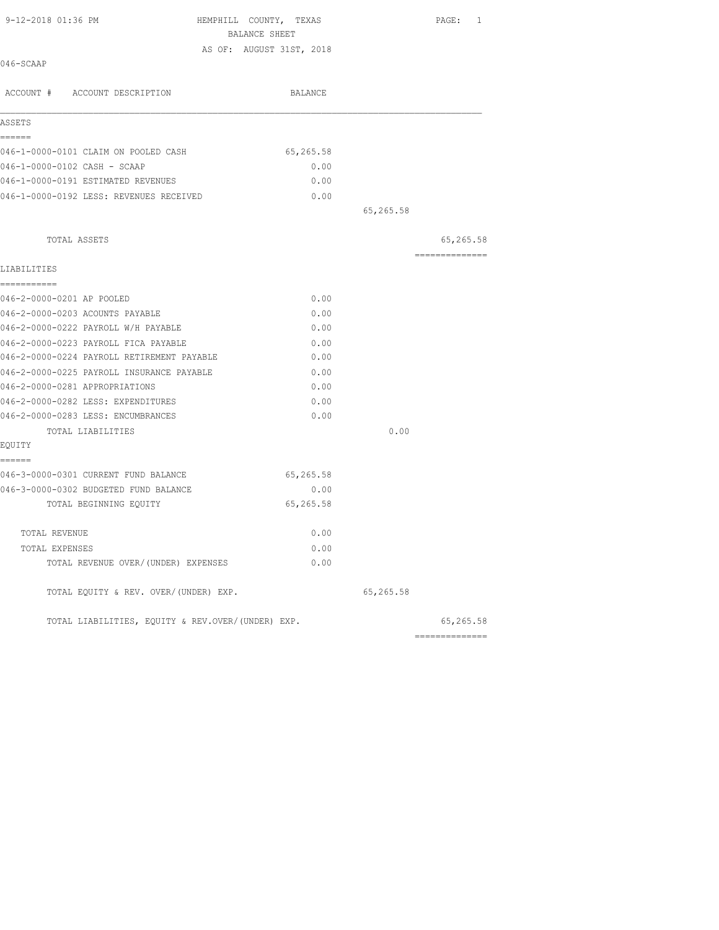| 9-12-2018 01:36 PM                                | HEMPHILL COUNTY, TEXAS   |           | PAGE: 1        |
|---------------------------------------------------|--------------------------|-----------|----------------|
|                                                   | BALANCE SHEET            |           |                |
| 046-SCAAP                                         | AS OF: AUGUST 31ST, 2018 |           |                |
|                                                   |                          |           |                |
| ACCOUNT # ACCOUNT DESCRIPTION                     | BALANCE                  |           |                |
| ASSETS                                            |                          |           |                |
| ------                                            |                          |           |                |
| 046-1-0000-0101 CLAIM ON POOLED CASH              | 65,265.58                |           |                |
| 046-1-0000-0102 CASH - SCAAP                      | 0.00                     |           |                |
| 046-1-0000-0191 ESTIMATED REVENUES                | 0.00                     |           |                |
| 046-1-0000-0192 LESS: REVENUES RECEIVED           | 0.00                     |           |                |
|                                                   |                          | 65,265.58 |                |
| TOTAL ASSETS                                      |                          |           | 65,265.58      |
|                                                   |                          |           | ============== |
| LIABILITIES<br>===========                        |                          |           |                |
| 046-2-0000-0201 AP POOLED                         | 0.00                     |           |                |
| 046-2-0000-0203 ACOUNTS PAYABLE                   | 0.00                     |           |                |
| 046-2-0000-0222 PAYROLL W/H PAYABLE               | 0.00                     |           |                |
| 046-2-0000-0223 PAYROLL FICA PAYABLE              | 0.00                     |           |                |
| 046-2-0000-0224 PAYROLL RETIREMENT PAYABLE        | 0.00                     |           |                |
| 046-2-0000-0225 PAYROLL INSURANCE PAYABLE         | 0.00                     |           |                |
| 046-2-0000-0281 APPROPRIATIONS                    | 0.00                     |           |                |
| 046-2-0000-0282 LESS: EXPENDITURES                | 0.00                     |           |                |
| 046-2-0000-0283 LESS: ENCUMBRANCES                | 0.00                     |           |                |
| TOTAL LIABILITIES                                 |                          | 0.00      |                |
| EQUITY                                            |                          |           |                |
| ======                                            |                          |           |                |
| 046-3-0000-0301 CURRENT FUND BALANCE              | 65,265.58                |           |                |
| 046-3-0000-0302 BUDGETED FUND BALANCE             | 0.00                     |           |                |
| TOTAL BEGINNING EQUITY                            | 65,265.58                |           |                |
| TOTAL REVENUE                                     | 0.00                     |           |                |
| TOTAL EXPENSES                                    | 0.00                     |           |                |
| TOTAL REVENUE OVER/(UNDER) EXPENSES               | 0.00                     |           |                |
| TOTAL EQUITY & REV. OVER/(UNDER) EXP.             |                          | 65,265.58 |                |
| TOTAL LIABILITIES, EOUITY & REV.OVER/(UNDER) EXP. |                          |           | 65,265.58      |
|                                                   |                          |           | ============== |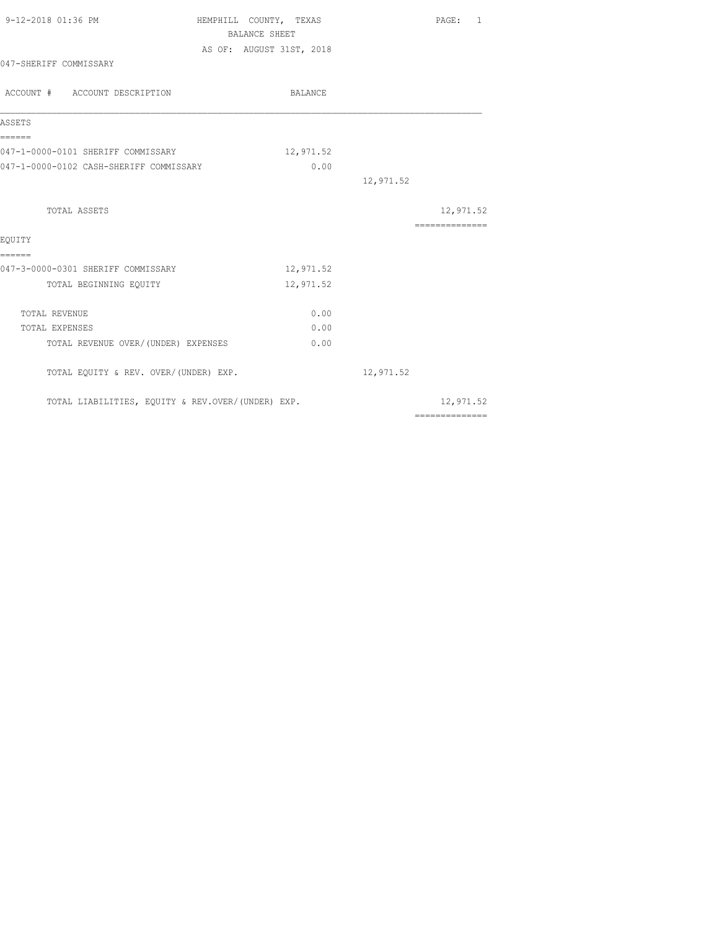| 9-12-2018 01:36 PM                                | HEMPHILL COUNTY, TEXAS<br><b>BALANCE SHEET</b> | PAGE: 1                                                                                                                                                                                                                                                                                                                                                                                                                                                                                |
|---------------------------------------------------|------------------------------------------------|----------------------------------------------------------------------------------------------------------------------------------------------------------------------------------------------------------------------------------------------------------------------------------------------------------------------------------------------------------------------------------------------------------------------------------------------------------------------------------------|
|                                                   | AS OF: AUGUST 31ST, 2018                       |                                                                                                                                                                                                                                                                                                                                                                                                                                                                                        |
| 047-SHERIFF COMMISSARY                            |                                                |                                                                                                                                                                                                                                                                                                                                                                                                                                                                                        |
| ACCOUNT # ACCOUNT DESCRIPTION                     | BALANCE                                        |                                                                                                                                                                                                                                                                                                                                                                                                                                                                                        |
| ASSETS                                            |                                                |                                                                                                                                                                                                                                                                                                                                                                                                                                                                                        |
| ======<br>047-1-0000-0101 SHERIFF COMMISSARY      | 12,971.52                                      |                                                                                                                                                                                                                                                                                                                                                                                                                                                                                        |
| 047-1-0000-0102 CASH-SHERIFF COMMISSARY           | 0.00                                           |                                                                                                                                                                                                                                                                                                                                                                                                                                                                                        |
|                                                   |                                                | 12,971.52                                                                                                                                                                                                                                                                                                                                                                                                                                                                              |
| TOTAL ASSETS                                      |                                                | 12,971.52                                                                                                                                                                                                                                                                                                                                                                                                                                                                              |
|                                                   |                                                | $\begin{array}{cccccccccccccc} \multicolumn{2}{c}{} & \multicolumn{2}{c}{} & \multicolumn{2}{c}{} & \multicolumn{2}{c}{} & \multicolumn{2}{c}{} & \multicolumn{2}{c}{} & \multicolumn{2}{c}{} & \multicolumn{2}{c}{} & \multicolumn{2}{c}{} & \multicolumn{2}{c}{} & \multicolumn{2}{c}{} & \multicolumn{2}{c}{} & \multicolumn{2}{c}{} & \multicolumn{2}{c}{} & \multicolumn{2}{c}{} & \multicolumn{2}{c}{} & \multicolumn{2}{c}{} & \multicolumn{2}{c}{} & \multicolumn{2}{c}{} & \$ |
| EOUITY<br>======                                  |                                                |                                                                                                                                                                                                                                                                                                                                                                                                                                                                                        |
| 047-3-0000-0301 SHERIFF COMMISSARY                | 12,971.52                                      |                                                                                                                                                                                                                                                                                                                                                                                                                                                                                        |
| TOTAL BEGINNING EQUITY                            | 12,971.52                                      |                                                                                                                                                                                                                                                                                                                                                                                                                                                                                        |
| TOTAL REVENUE                                     | 0.00                                           |                                                                                                                                                                                                                                                                                                                                                                                                                                                                                        |
| TOTAL EXPENSES                                    | 0.00                                           |                                                                                                                                                                                                                                                                                                                                                                                                                                                                                        |
| TOTAL REVENUE OVER/ (UNDER) EXPENSES              | 0.00                                           |                                                                                                                                                                                                                                                                                                                                                                                                                                                                                        |
| TOTAL EQUITY & REV. OVER/(UNDER) EXP.             |                                                | 12,971.52                                                                                                                                                                                                                                                                                                                                                                                                                                                                              |
| TOTAL LIABILITIES, EQUITY & REV.OVER/(UNDER) EXP. |                                                | 12,971.52                                                                                                                                                                                                                                                                                                                                                                                                                                                                              |
|                                                   |                                                | $\begin{array}{cccccccccccccc} \multicolumn{2}{c}{} & \multicolumn{2}{c}{} & \multicolumn{2}{c}{} & \multicolumn{2}{c}{} & \multicolumn{2}{c}{} & \multicolumn{2}{c}{} & \multicolumn{2}{c}{} & \multicolumn{2}{c}{} & \multicolumn{2}{c}{} & \multicolumn{2}{c}{} & \multicolumn{2}{c}{} & \multicolumn{2}{c}{} & \multicolumn{2}{c}{} & \multicolumn{2}{c}{} & \multicolumn{2}{c}{} & \multicolumn{2}{c}{} & \multicolumn{2}{c}{} & \multicolumn{2}{c}{} & \multicolumn{2}{c}{} & \$ |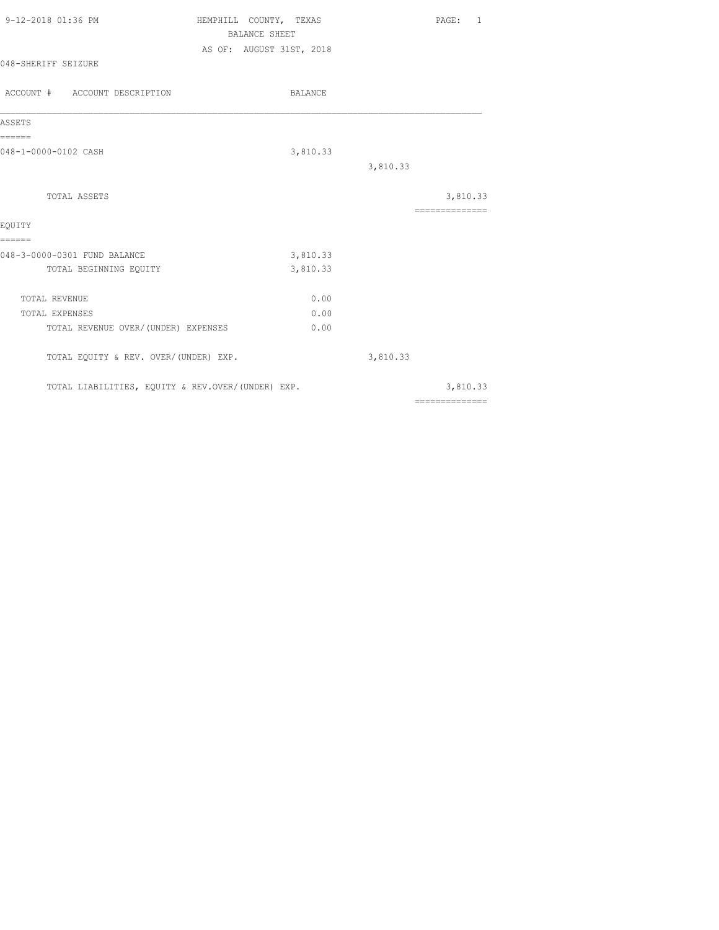| 9-12-2018 01:36 PM                                | HEMPHILL COUNTY, TEXAS<br><b>BALANCE SHEET</b> | PAGE: 1                                                                                                                                                                                                                                                                                                                                                                                                                                                                                |
|---------------------------------------------------|------------------------------------------------|----------------------------------------------------------------------------------------------------------------------------------------------------------------------------------------------------------------------------------------------------------------------------------------------------------------------------------------------------------------------------------------------------------------------------------------------------------------------------------------|
|                                                   | AS OF: AUGUST 31ST, 2018                       |                                                                                                                                                                                                                                                                                                                                                                                                                                                                                        |
| 048-SHERIFF SEIZURE                               |                                                |                                                                                                                                                                                                                                                                                                                                                                                                                                                                                        |
| ACCOUNT # ACCOUNT DESCRIPTION                     | BALANCE                                        |                                                                                                                                                                                                                                                                                                                                                                                                                                                                                        |
| ASSETS                                            |                                                |                                                                                                                                                                                                                                                                                                                                                                                                                                                                                        |
| ------                                            |                                                |                                                                                                                                                                                                                                                                                                                                                                                                                                                                                        |
| 048-1-0000-0102 CASH                              | 3,810.33                                       |                                                                                                                                                                                                                                                                                                                                                                                                                                                                                        |
|                                                   |                                                | 3,810.33                                                                                                                                                                                                                                                                                                                                                                                                                                                                               |
| TOTAL ASSETS                                      |                                                | 3,810.33                                                                                                                                                                                                                                                                                                                                                                                                                                                                               |
|                                                   |                                                | $\begin{array}{cccccccccc} \multicolumn{2}{c}{} & \multicolumn{2}{c}{} & \multicolumn{2}{c}{} & \multicolumn{2}{c}{} & \multicolumn{2}{c}{} & \multicolumn{2}{c}{} & \multicolumn{2}{c}{} & \multicolumn{2}{c}{} & \multicolumn{2}{c}{} & \multicolumn{2}{c}{} & \multicolumn{2}{c}{} & \multicolumn{2}{c}{} & \multicolumn{2}{c}{} & \multicolumn{2}{c}{} & \multicolumn{2}{c}{} & \multicolumn{2}{c}{} & \multicolumn{2}{c}{} & \multicolumn{2}{c}{} & \multicolumn{2}{c}{} & \mult$ |
| EQUITY<br>======                                  |                                                |                                                                                                                                                                                                                                                                                                                                                                                                                                                                                        |
| 048-3-0000-0301 FUND BALANCE                      | 3,810.33                                       |                                                                                                                                                                                                                                                                                                                                                                                                                                                                                        |
| TOTAL BEGINNING EQUITY                            | 3,810.33                                       |                                                                                                                                                                                                                                                                                                                                                                                                                                                                                        |
| TOTAL REVENUE                                     | 0.00                                           |                                                                                                                                                                                                                                                                                                                                                                                                                                                                                        |
| TOTAL EXPENSES                                    | 0.00                                           |                                                                                                                                                                                                                                                                                                                                                                                                                                                                                        |
| TOTAL REVENUE OVER/ (UNDER) EXPENSES              | 0.00                                           |                                                                                                                                                                                                                                                                                                                                                                                                                                                                                        |
| TOTAL EQUITY & REV. OVER/(UNDER) EXP.             |                                                | 3,810.33                                                                                                                                                                                                                                                                                                                                                                                                                                                                               |
| TOTAL LIABILITIES, EQUITY & REV.OVER/(UNDER) EXP. |                                                | 3,810.33                                                                                                                                                                                                                                                                                                                                                                                                                                                                               |
|                                                   |                                                | $\begin{array}{cccccccccccccc} \multicolumn{2}{c}{} & \multicolumn{2}{c}{} & \multicolumn{2}{c}{} & \multicolumn{2}{c}{} & \multicolumn{2}{c}{} & \multicolumn{2}{c}{} & \multicolumn{2}{c}{} & \multicolumn{2}{c}{} & \multicolumn{2}{c}{} & \multicolumn{2}{c}{} & \multicolumn{2}{c}{} & \multicolumn{2}{c}{} & \multicolumn{2}{c}{} & \multicolumn{2}{c}{} & \multicolumn{2}{c}{} & \multicolumn{2}{c}{} & \multicolumn{2}{c}{} & \multicolumn{2}{c}{} & \multicolumn{2}{c}{} & \$ |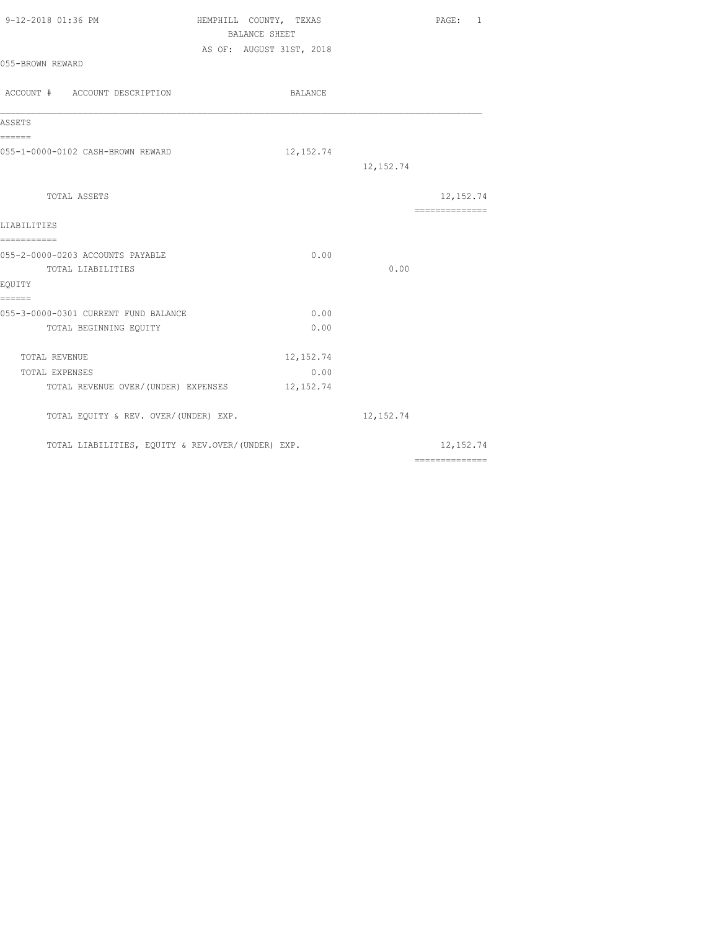| 9-12-2018 01:36 PM                                                               | HEMPHILL COUNTY, TEXAS<br>BALANCE SHEET<br>AS OF: AUGUST 31ST, 2018 | PAGE: 1                                                                                                                                                                                                                                                                                                                                                                                                                                                                                              |
|----------------------------------------------------------------------------------|---------------------------------------------------------------------|------------------------------------------------------------------------------------------------------------------------------------------------------------------------------------------------------------------------------------------------------------------------------------------------------------------------------------------------------------------------------------------------------------------------------------------------------------------------------------------------------|
| 055-BROWN REWARD                                                                 |                                                                     |                                                                                                                                                                                                                                                                                                                                                                                                                                                                                                      |
| ACCOUNT # ACCOUNT DESCRIPTION                                                    | BALANCE                                                             |                                                                                                                                                                                                                                                                                                                                                                                                                                                                                                      |
| ASSETS                                                                           |                                                                     |                                                                                                                                                                                                                                                                                                                                                                                                                                                                                                      |
| ======<br>055-1-0000-0102 CASH-BROWN REWARD                                      | 12, 152.74                                                          | 12, 152.74                                                                                                                                                                                                                                                                                                                                                                                                                                                                                           |
| TOTAL ASSETS                                                                     |                                                                     | 12, 152.74<br>--------------                                                                                                                                                                                                                                                                                                                                                                                                                                                                         |
| LIABILITIES                                                                      |                                                                     |                                                                                                                                                                                                                                                                                                                                                                                                                                                                                                      |
| ===========<br>055-2-0000-0203 ACCOUNTS PAYABLE<br>TOTAL LIABILITIES<br>EQUITY   | 0.00                                                                | 0.00                                                                                                                                                                                                                                                                                                                                                                                                                                                                                                 |
| ======<br>055-3-0000-0301 CURRENT FUND BALANCE<br>TOTAL BEGINNING EQUITY         | 0.00<br>0.00                                                        |                                                                                                                                                                                                                                                                                                                                                                                                                                                                                                      |
| TOTAL REVENUE<br>TOTAL EXPENSES<br>TOTAL REVENUE OVER/(UNDER) EXPENSES 12,152.74 | 12, 152.74<br>0.00                                                  |                                                                                                                                                                                                                                                                                                                                                                                                                                                                                                      |
| TOTAL EQUITY & REV. OVER/(UNDER) EXP.                                            |                                                                     | 12, 152.74                                                                                                                                                                                                                                                                                                                                                                                                                                                                                           |
| TOTAL LIABILITIES, EQUITY & REV.OVER/(UNDER) EXP.                                |                                                                     | 12, 152.74<br>$\begin{array}{cccccccccc} \multicolumn{2}{c}{} & \multicolumn{2}{c}{} & \multicolumn{2}{c}{} & \multicolumn{2}{c}{} & \multicolumn{2}{c}{} & \multicolumn{2}{c}{} & \multicolumn{2}{c}{} & \multicolumn{2}{c}{} & \multicolumn{2}{c}{} & \multicolumn{2}{c}{} & \multicolumn{2}{c}{} & \multicolumn{2}{c}{} & \multicolumn{2}{c}{} & \multicolumn{2}{c}{} & \multicolumn{2}{c}{} & \multicolumn{2}{c}{} & \multicolumn{2}{c}{} & \multicolumn{2}{c}{} & \multicolumn{2}{c}{} & \mult$ |